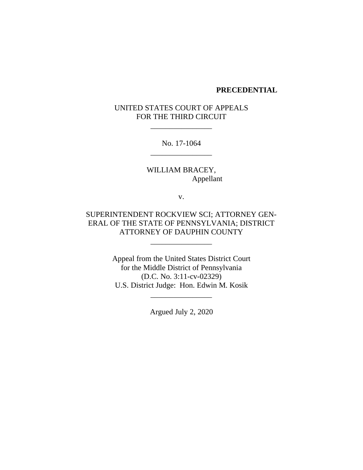### **PRECEDENTIAL**

## UNITED STATES COURT OF APPEALS FOR THE THIRD CIRCUIT

\_\_\_\_\_\_\_\_\_\_\_\_\_\_\_\_

No. 17-1064 \_\_\_\_\_\_\_\_\_\_\_\_\_\_\_\_

WILLIAM BRACEY, Appellant

v.

## SUPERINTENDENT ROCKVIEW SCI; ATTORNEY GEN-ERAL OF THE STATE OF PENNSYLVANIA; DISTRICT ATTORNEY OF DAUPHIN COUNTY

\_\_\_\_\_\_\_\_\_\_\_\_\_\_\_\_

Appeal from the United States District Court for the Middle District of Pennsylvania (D.C. No. 3:11-cv-02329) U.S. District Judge: Hon. Edwin M. Kosik

Argued July 2, 2020

\_\_\_\_\_\_\_\_\_\_\_\_\_\_\_\_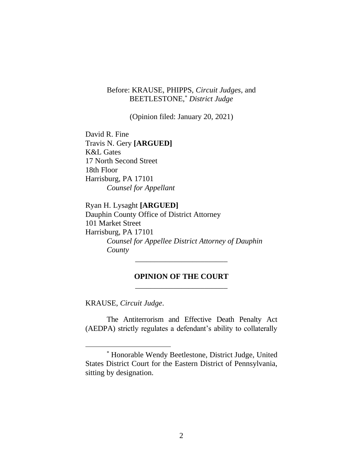Before: KRAUSE, PHIPPS, *Circuit Judges*, and BEETLESTONE,\* *District Judge*

(Opinion filed: January 20, 2021)

David R. Fine Travis N. Gery **[ARGUED]** K&L Gates 17 North Second Street 18th Floor Harrisburg, PA 17101 *Counsel for Appellant*

Ryan H. Lysaght **[ARGUED]** Dauphin County Office of District Attorney 101 Market Street Harrisburg, PA 17101 *Counsel for Appellee District Attorney of Dauphin County*

## **OPINION OF THE COURT** \_\_\_\_\_\_\_\_\_\_\_\_\_\_\_\_\_\_\_\_\_\_\_\_

\_\_\_\_\_\_\_\_\_\_\_\_\_\_\_\_\_\_\_\_\_\_\_\_

KRAUSE, *Circuit Judge*.

The Antiterrorism and Effective Death Penalty Act (AEDPA) strictly regulates a defendant's ability to collaterally

<sup>\*</sup> Honorable Wendy Beetlestone, District Judge, United States District Court for the Eastern District of Pennsylvania, sitting by designation.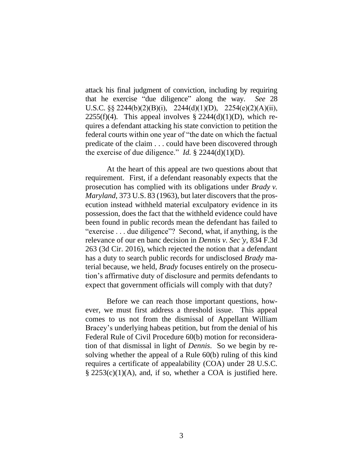attack his final judgment of conviction, including by requiring that he exercise "due diligence" along the way. *See* 28 U.S.C. §§ 2244(b)(2)(B)(i), 2244(d)(1)(D), 2254(e)(2)(A)(ii), 2255(f)(4). This appeal involves  $\S 2244(d)(1)(D)$ , which requires a defendant attacking his state conviction to petition the federal courts within one year of "the date on which the factual predicate of the claim . . . could have been discovered through the exercise of due diligence." *Id.*  $\S$  2244(d)(1)(D).

At the heart of this appeal are two questions about that requirement. First, if a defendant reasonably expects that the prosecution has complied with its obligations under *Brady v. Maryland*, 373 U.S. 83 (1963), but later discovers that the prosecution instead withheld material exculpatory evidence in its possession, does the fact that the withheld evidence could have been found in public records mean the defendant has failed to "exercise . . . due diligence"? Second, what, if anything, is the relevance of our en banc decision in *Dennis v. Sec'y*, 834 F.3d 263 (3d Cir. 2016), which rejected the notion that a defendant has a duty to search public records for undisclosed *Brady* material because, we held, *Brady* focuses entirely on the prosecution's affirmative duty of disclosure and permits defendants to expect that government officials will comply with that duty?

Before we can reach those important questions, however, we must first address a threshold issue. This appeal comes to us not from the dismissal of Appellant William Bracey's underlying habeas petition, but from the denial of his Federal Rule of Civil Procedure 60(b) motion for reconsideration of that dismissal in light of *Dennis*. So we begin by resolving whether the appeal of a Rule 60(b) ruling of this kind requires a certificate of appealability (COA) under 28 U.S.C.  $\S$  2253(c)(1)(A), and, if so, whether a COA is justified here.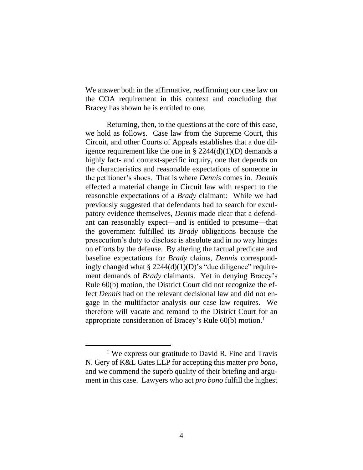We answer both in the affirmative, reaffirming our case law on the COA requirement in this context and concluding that Bracey has shown he is entitled to one.

Returning, then, to the questions at the core of this case, we hold as follows. Case law from the Supreme Court, this Circuit, and other Courts of Appeals establishes that a due diligence requirement like the one in  $\S 2244(d)(1)(D)$  demands a highly fact- and context-specific inquiry, one that depends on the characteristics and reasonable expectations of someone in the petitioner's shoes. That is where *Dennis* comes in. *Dennis* effected a material change in Circuit law with respect to the reasonable expectations of a *Brady* claimant: While we had previously suggested that defendants had to search for exculpatory evidence themselves, *Dennis* made clear that a defendant can reasonably expect—and is entitled to presume—that the government fulfilled its *Brady* obligations because the prosecution's duty to disclose is absolute and in no way hinges on efforts by the defense. By altering the factual predicate and baseline expectations for *Brady* claims, *Dennis* correspondingly changed what  $\S 2244(d)(1)(D)'$ s "due diligence" requirement demands of *Brady* claimants. Yet in denying Bracey's Rule 60(b) motion, the District Court did not recognize the effect *Dennis* had on the relevant decisional law and did not engage in the multifactor analysis our case law requires. We therefore will vacate and remand to the District Court for an appropriate consideration of Bracey's Rule 60(b) motion.<sup>1</sup>

<sup>&</sup>lt;sup>1</sup> We express our gratitude to David R. Fine and Travis N. Gery of K&L Gates LLP for accepting this matter *pro bono*, and we commend the superb quality of their briefing and argument in this case. Lawyers who act *pro bono* fulfill the highest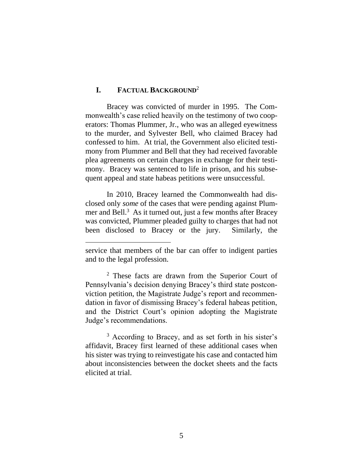### **I. FACTUAL BACKGROUND**<sup>2</sup>

Bracey was convicted of murder in 1995. The Commonwealth's case relied heavily on the testimony of two cooperators: Thomas Plummer, Jr., who was an alleged eyewitness to the murder, and Sylvester Bell, who claimed Bracey had confessed to him. At trial, the Government also elicited testimony from Plummer and Bell that they had received favorable plea agreements on certain charges in exchange for their testimony. Bracey was sentenced to life in prison, and his subsequent appeal and state habeas petitions were unsuccessful.

In 2010, Bracey learned the Commonwealth had disclosed only *some* of the cases that were pending against Plummer and Bell. 3 As it turned out, just a few months after Bracey was convicted, Plummer pleaded guilty to charges that had not been disclosed to Bracey or the jury. Similarly, the

<sup>2</sup> These facts are drawn from the Superior Court of Pennsylvania's decision denying Bracey's third state postconviction petition, the Magistrate Judge's report and recommendation in favor of dismissing Bracey's federal habeas petition, and the District Court's opinion adopting the Magistrate Judge's recommendations.

<sup>3</sup> According to Bracey, and as set forth in his sister's affidavit, Bracey first learned of these additional cases when his sister was trying to reinvestigate his case and contacted him about inconsistencies between the docket sheets and the facts elicited at trial.

service that members of the bar can offer to indigent parties and to the legal profession.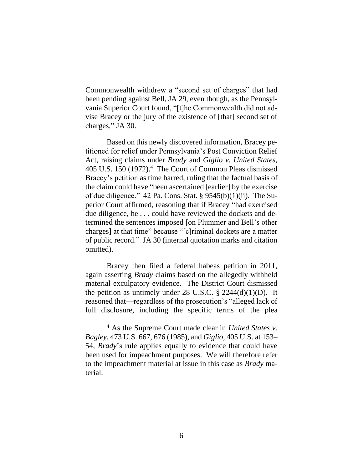Commonwealth withdrew a "second set of charges" that had been pending against Bell, JA 29, even though, as the Pennsylvania Superior Court found, "[t]he Commonwealth did not advise Bracey or the jury of the existence of [that] second set of charges," JA 30.

Based on this newly discovered information, Bracey petitioned for relief under Pennsylvania's Post Conviction Relief Act, raising claims under *Brady* and *Giglio v. United States*, 405 U.S. 150 (1972). <sup>4</sup> The Court of Common Pleas dismissed Bracey's petition as time barred, ruling that the factual basis of the claim could have "been ascertained [earlier] by the exercise of due diligence." 42 Pa. Cons. Stat. § 9545(b)(1)(ii). The Superior Court affirmed, reasoning that if Bracey "had exercised due diligence, he . . . could have reviewed the dockets and determined the sentences imposed [on Plummer and Bell's other charges] at that time" because "[c]riminal dockets are a matter of public record." JA 30 (internal quotation marks and citation omitted).

Bracey then filed a federal habeas petition in 2011, again asserting *Brady* claims based on the allegedly withheld material exculpatory evidence.The District Court dismissed the petition as untimely under 28 U.S.C.  $\S$  2244(d)(1)(D). It reasoned that—regardless of the prosecution's "alleged lack of full disclosure, including the specific terms of the plea

<sup>4</sup> As the Supreme Court made clear in *United States v. Bagley*, 473 U.S. 667, 676 (1985), and *Giglio*, 405 U.S. at 153– 54, *Brady*'s rule applies equally to evidence that could have been used for impeachment purposes. We will therefore refer to the impeachment material at issue in this case as *Brady* material.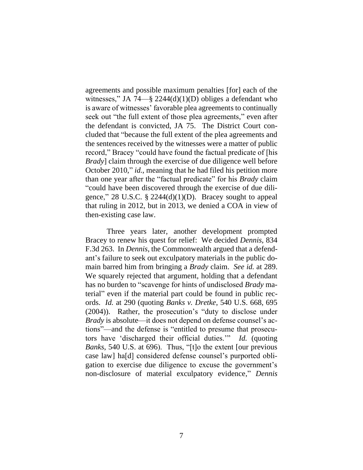agreements and possible maximum penalties [for] each of the witnesses," JA 74—§ 2244(d)(1)(D) obliges a defendant who is aware of witnesses' favorable plea agreements to continually seek out "the full extent of those plea agreements," even after the defendant is convicted, JA 75. The District Court concluded that "because the full extent of the plea agreements and the sentences received by the witnesses were a matter of public record," Bracey "could have found the factual predicate of [his *Brady*] claim through the exercise of due diligence well before October 2010," *id.*, meaning that he had filed his petition more than one year after the "factual predicate" for his *Brady* claim "could have been discovered through the exercise of due diligence," 28 U.S.C.  $\S$  2244(d)(1)(D). Bracey sought to appeal that ruling in 2012, but in 2013, we denied a COA in view of then-existing case law.

Three years later, another development prompted Bracey to renew his quest for relief: We decided *Dennis*, 834 F.3d 263. In *Dennis*, the Commonwealth argued that a defendant's failure to seek out exculpatory materials in the public domain barred him from bringing a *Brady* claim. *See id.* at 289. We squarely rejected that argument, holding that a defendant has no burden to "scavenge for hints of undisclosed *Brady* material" even if the material part could be found in public records. *Id.* at 290 (quoting *Banks v. Dretke*, 540 U.S. 668, 695 (2004)). Rather, the prosecution's "duty to disclose under *Brady* is absolute—it does not depend on defense counsel's actions"—and the defense is "entitled to presume that prosecutors have 'discharged their official duties.'" *Id.* (quoting *Banks*, 540 U.S. at 696). Thus, "[t]o the extent [our previous case law] ha[d] considered defense counsel's purported obligation to exercise due diligence to excuse the government's non-disclosure of material exculpatory evidence," *Dennis*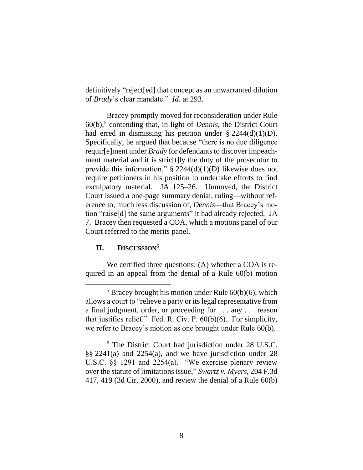definitively "reject[ed] that concept as an unwarranted dilution of *Brady*'s clear mandate." *Id.* at 293.

Bracey promptly moved for reconsideration under Rule 60(b), 5 contending that, in light of *Dennis*, the District Court had erred in dismissing his petition under  $\S 2244(d)(1)(D)$ . Specifically, he argued that because "there is no due diligence requir[e]ment under *Brady* for defendants to discover impeachment material and it is stric[t]ly the duty of the prosecutor to provide this information," § 2244(d)(1)(D) likewise does not require petitioners in his position to undertake efforts to find exculpatory material. JA 125–26. Unmoved, the District Court issued a one-page summary denial, ruling—without reference to, much less discussion of, *Dennis*—that Bracey's motion "raise[d] the same arguments" it had already rejected. JA 7. Bracey then requested a COA, which a motions panel of our Court referred to the merits panel.

### **II. DISCUSSION**<sup>6</sup>

We certified three questions: (A) whether a COA is required in an appeal from the denial of a Rule 60(b) motion

 $5$  Bracey brought his motion under Rule  $60(b)(6)$ , which allows a court to "relieve a party or its legal representative from a final judgment, order, or proceeding for . . . any . . . reason that justifies relief." Fed. R. Civ. P. 60(b)(6). For simplicity, we refer to Bracey's motion as one brought under Rule 60(b).

<sup>6</sup> The District Court had jurisdiction under 28 U.S.C. §§ 2241(a) and 2254(a), and we have jurisdiction under 28 U.S.C. §§ 1291 and 2254(a). "We exercise plenary review over the statute of limitations issue," *Swartz v. Myers*, 204 F.3d 417, 419 (3d Cir. 2000), and review the denial of a Rule 60(b)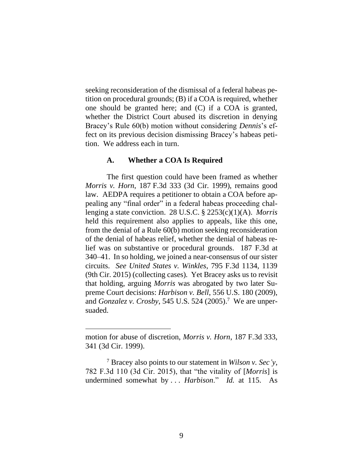seeking reconsideration of the dismissal of a federal habeas petition on procedural grounds; (B) if a COA is required, whether one should be granted here; and (C) if a COA is granted, whether the District Court abused its discretion in denying Bracey's Rule 60(b) motion without considering *Dennis*'s effect on its previous decision dismissing Bracey's habeas petition. We address each in turn.

### **A. Whether a COA Is Required**

The first question could have been framed as whether *Morris v. Horn*, 187 F.3d 333 (3d Cir. 1999), remains good law. AEDPA requires a petitioner to obtain a COA before appealing any "final order" in a federal habeas proceeding challenging a state conviction. 28 U.S.C. § 2253(c)(1)(A). *Morris* held this requirement also applies to appeals, like this one, from the denial of a Rule 60(b) motion seeking reconsideration of the denial of habeas relief, whether the denial of habeas relief was on substantive or procedural grounds. 187 F.3d at 340–41. In so holding, we joined a near-consensus of our sister circuits. *See United States v. Winkles*, 795 F.3d 1134, 1139 (9th Cir. 2015) (collecting cases). Yet Bracey asks us to revisit that holding, arguing *Morris* was abrogated by two later Supreme Court decisions: *Harbison v. Bell*, 556 U.S. 180 (2009), and *Gonzalez v. Crosby*, 545 U.S. 524 (2005). <sup>7</sup> We are unpersuaded.

motion for abuse of discretion, *Morris v. Horn*, 187 F.3d 333, 341 (3d Cir. 1999).

<sup>7</sup> Bracey also points to our statement in *Wilson v. Sec'y*, 782 F.3d 110 (3d Cir. 2015), that "the vitality of [*Morris*] is undermined somewhat by . . . *Harbison*." *Id.* at 115. As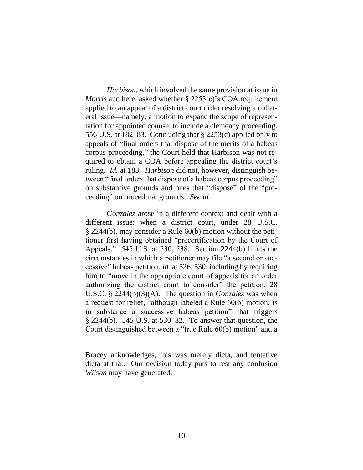*Harbison*, which involved the same provision at issue in *Morris* and here, asked whether § 2253(c)'s COA requirement applied to an appeal of a district court order resolving a collateral issue—namely, a motion to expand the scope of representation for appointed counsel to include a clemency proceeding. 556 U.S. at 182–83. Concluding that § 2253(c) applied only to appeals of "final orders that dispose of the merits of a habeas corpus proceeding," the Court held that Harbison was not required to obtain a COA before appealing the district court's ruling. *Id.* at 183. *Harbison* did not, however, distinguish between "final orders that dispose of a habeas corpus proceeding" on substantive grounds and ones that "dispose" of the "proceeding" on procedural grounds. *See id.*

*Gonzalez* arose in a different context and dealt with a different issue: when a district court, under 28 U.S.C. § 2244(b), may consider a Rule 60(b) motion without the petitioner first having obtained "precertification by the Court of Appeals." 545 U.S. at 530, 538. Section 2244(b) limits the circumstances in which a petitioner may file "a second or successive" habeas petition, *id.* at 526, 530, including by requiring him to "move in the appropriate court of appeals for an order authorizing the district court to consider" the petition, 28 U.S.C. § 2244(b)(3)(A). The question in *Gonzalez* was when a request for relief, "although labeled a Rule 60(b) motion, is in substance a successive habeas petition" that triggers § 2244(b). 545 U.S. at 530–32. To answer that question, the Court distinguished between a "true Rule 60(b) motion" and a

Bracey acknowledges, this was merely dicta, and tentative dicta at that. Our decision today puts to rest any confusion *Wilson* may have generated.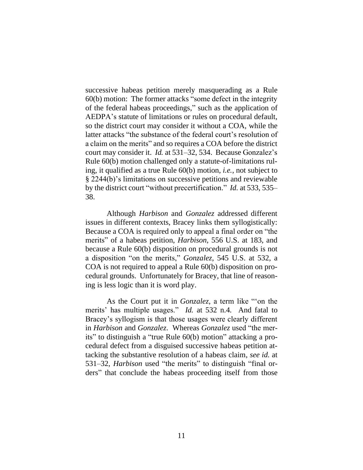successive habeas petition merely masquerading as a Rule 60(b) motion: The former attacks "some defect in the integrity of the federal habeas proceedings," such as the application of AEDPA's statute of limitations or rules on procedural default, so the district court may consider it without a COA, while the latter attacks "the substance of the federal court's resolution of a claim on the merits" and so requires a COA before the district court may consider it. *Id.* at 531–32, 534. Because Gonzalez's Rule 60(b) motion challenged only a statute-of-limitations ruling, it qualified as a true Rule 60(b) motion, *i.e.*, not subject to § 2244(b)'s limitations on successive petitions and reviewable by the district court "without precertification." *Id.* at 533, 535– 38.

Although *Harbison* and *Gonzalez* addressed different issues in different contexts, Bracey links them syllogistically: Because a COA is required only to appeal a final order on "the merits" of a habeas petition, *Harbison*, 556 U.S. at 183, and because a Rule 60(b) disposition on procedural grounds is not a disposition "on the merits," *Gonzalez*, 545 U.S. at 532, a COA is not required to appeal a Rule 60(b) disposition on procedural grounds. Unfortunately for Bracey, that line of reasoning is less logic than it is word play.

As the Court put it in *Gonzalez*, a term like "'on the merits' has multiple usages." *Id.* at 532 n.4. And fatal to Bracey's syllogism is that those usages were clearly different in *Harbison* and *Gonzalez*. Whereas *Gonzalez* used "the merits" to distinguish a "true Rule 60(b) motion" attacking a procedural defect from a disguised successive habeas petition attacking the substantive resolution of a habeas claim, *see id.* at 531–32, *Harbison* used "the merits" to distinguish "final orders" that conclude the habeas proceeding itself from those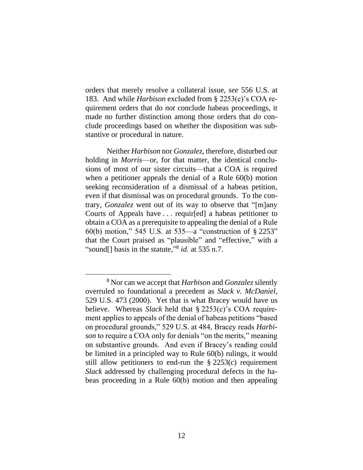orders that merely resolve a collateral issue, *see* 556 U.S. at 183. And while *Harbison* excluded from § 2253(c)'s COA requirement orders that do *not* conclude habeas proceedings, it made no further distinction among those orders that *do* conclude proceedings based on whether the disposition was substantive or procedural in nature.

Neither *Harbison* nor *Gonzalez*, therefore, disturbed our holding in *Morris*—or, for that matter, the identical conclusions of most of our sister circuits—that a COA is required when a petitioner appeals the denial of a Rule 60(b) motion seeking reconsideration of a dismissal of a habeas petition, even if that dismissal was on procedural grounds. To the contrary, *Gonzalez* went out of its way to observe that "[m]any Courts of Appeals have . . . requir[ed] a habeas petitioner to obtain a COA as a prerequisite to appealing the denial of a Rule 60(b) motion," 545 U.S. at 535—a "construction of § 2253" that the Court praised as "plausible" and "effective," with a "sound[] basis in the statute," 8 *id.* at 535 n.7.

<sup>8</sup> Nor can we accept that *Harbison* and *Gonzalez* silently overruled so foundational a precedent as *Slack v. McDaniel*, 529 U.S. 473 (2000). Yet that is what Bracey would have us believe. Whereas *Slack* held that § 2253(c)'s COA requirement applies to appeals of the denial of habeas petitions "based on procedural grounds," 529 U.S. at 484, Bracey reads *Harbison* to require a COA only for denials "on the merits," meaning on substantive grounds. And even if Bracey's reading could be limited in a principled way to Rule 60(b) rulings, it would still allow petitioners to end-run the  $\S 2253(c)$  requirement *Slack* addressed by challenging procedural defects in the habeas proceeding in a Rule 60(b) motion and then appealing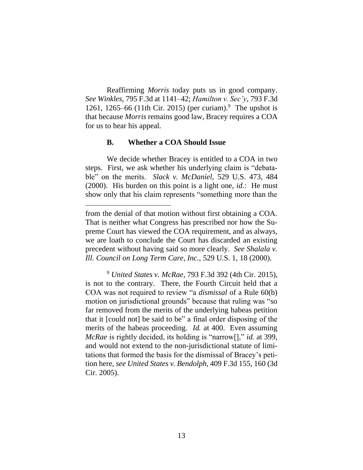Reaffirming *Morris* today puts us in good company. *See Winkles*, 795 F.3d at 1141–42; *Hamilton v. Sec'y*, 793 F.3d 1261, 1265–66 (11th Cir. 2015) (per curiam).<sup>9</sup> The upshot is that because *Morris* remains good law, Bracey requires a COA for us to hear his appeal.

#### **B. Whether a COA Should Issue**

We decide whether Bracey is entitled to a COA in two steps. First, we ask whether his underlying claim is "debatable" on the merits. *Slack v. McDaniel*, 529 U.S. 473, 484 (2000). His burden on this point is a light one, *id.*: He must show only that his claim represents "something more than the

from the denial of that motion without first obtaining a COA. That is neither what Congress has prescribed nor how the Supreme Court has viewed the COA requirement, and as always, we are loath to conclude the Court has discarded an existing precedent without having said so more clearly. *See Shalala v. Ill. Council on Long Term Care, Inc.*, 529 U.S. 1, 18 (2000).

<sup>9</sup> *United States v. McRae*, 793 F.3d 392 (4th Cir. 2015), is not to the contrary. There, the Fourth Circuit held that a COA was not required to review "a *dismissal* of a Rule 60(b) motion on jurisdictional grounds" because that ruling was "so far removed from the merits of the underlying habeas petition that it [could not] be said to be" a final order disposing of the merits of the habeas proceeding. *Id.* at 400. Even assuming *McRae* is rightly decided, its holding is "narrow[]," *id.* at 399, and would not extend to the non-jurisdictional statute of limitations that formed the basis for the dismissal of Bracey's petition here, *see United States v. Bendolph*, 409 F.3d 155, 160 (3d Cir. 2005).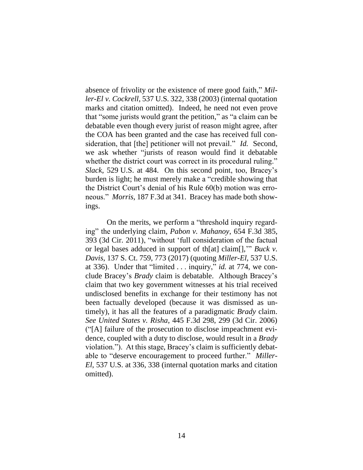absence of frivolity or the existence of mere good faith," *Miller-El v. Cockrell*, 537 U.S. 322, 338 (2003) (internal quotation marks and citation omitted). Indeed, he need not even prove that "some jurists would grant the petition," as "a claim can be debatable even though every jurist of reason might agree, after the COA has been granted and the case has received full consideration, that [the] petitioner will not prevail." *Id.* Second, we ask whether "jurists of reason would find it debatable whether the district court was correct in its procedural ruling." *Slack*, 529 U.S. at 484. On this second point, too, Bracey's burden is light; he must merely make a "credible showing that the District Court's denial of his Rule 60(b) motion was erroneous." *Morris*, 187 F.3d at 341. Bracey has made both showings.

On the merits, we perform a "threshold inquiry regarding" the underlying claim, *Pabon v. Mahanoy*, 654 F.3d 385, 393 (3d Cir. 2011), "without 'full consideration of the factual or legal bases adduced in support of th[at] claim[],'" *Buck v. Davis*, 137 S. Ct. 759, 773 (2017) (quoting *Miller-El*, 537 U.S. at 336). Under that "limited . . . inquiry," *id.* at 774, we conclude Bracey's *Brady* claim is debatable. Although Bracey's claim that two key government witnesses at his trial received undisclosed benefits in exchange for their testimony has not been factually developed (because it was dismissed as untimely), it has all the features of a paradigmatic *Brady* claim. *See United States v. Risha*, 445 F.3d 298, 299 (3d Cir. 2006) ("[A] failure of the prosecution to disclose impeachment evidence, coupled with a duty to disclose, would result in a *Brady* violation."). At this stage, Bracey's claim is sufficiently debatable to "deserve encouragement to proceed further." *Miller-El*, 537 U.S. at 336, 338 (internal quotation marks and citation omitted).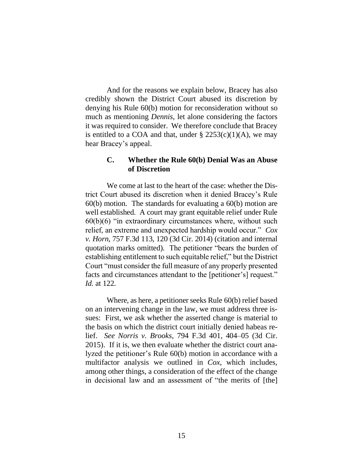And for the reasons we explain below, Bracey has also credibly shown the District Court abused its discretion by denying his Rule 60(b) motion for reconsideration without so much as mentioning *Dennis*, let alone considering the factors it was required to consider. We therefore conclude that Bracey is entitled to a COA and that, under  $\S 2253(c)(1)(A)$ , we may hear Bracey's appeal.

### **C. Whether the Rule 60(b) Denial Was an Abuse of Discretion**

We come at last to the heart of the case: whether the District Court abused its discretion when it denied Bracey's Rule 60(b) motion. The standards for evaluating a 60(b) motion are well established. A court may grant equitable relief under Rule  $60(b)(6)$  "in extraordinary circumstances where, without such relief, an extreme and unexpected hardship would occur." *Cox v. Horn*, 757 F.3d 113, 120 (3d Cir. 2014) (citation and internal quotation marks omitted). The petitioner "bears the burden of establishing entitlement to such equitable relief," but the District Court "must consider the full measure of any properly presented facts and circumstances attendant to the [petitioner's] request." *Id.* at 122.

Where, as here, a petitioner seeks Rule 60(b) relief based on an intervening change in the law, we must address three issues: First, we ask whether the asserted change is material to the basis on which the district court initially denied habeas relief. *See Norris v. Brooks*, 794 F.3d 401, 404–05 (3d Cir. 2015). If it is, we then evaluate whether the district court analyzed the petitioner's Rule 60(b) motion in accordance with a multifactor analysis we outlined in *Cox*, which includes, among other things, a consideration of the effect of the change in decisional law and an assessment of "the merits of [the]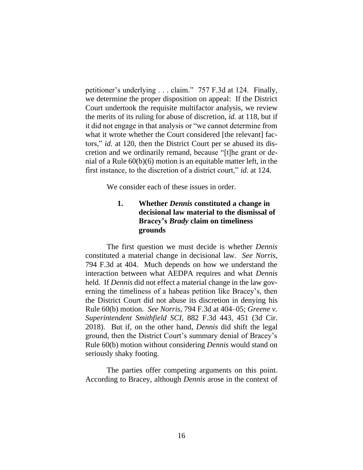petitioner's underlying . . . claim." 757 F.3d at 124. Finally, we determine the proper disposition on appeal: If the District Court undertook the requisite multifactor analysis, we review the merits of its ruling for abuse of discretion, *id.* at 118, but if it did not engage in that analysis or "we cannot determine from what it wrote whether the Court considered [the relevant] factors," *id.* at 120, then the District Court per se abused its discretion and we ordinarily remand, because "[t]he grant or denial of a Rule 60(b)(6) motion is an equitable matter left, in the first instance, to the discretion of a district court," *id.* at 124.

We consider each of these issues in order.

## **1. Whether** *Dennis* **constituted a change in decisional law material to the dismissal of Bracey's** *Brady* **claim on timeliness grounds**

The first question we must decide is whether *Dennis* constituted a material change in decisional law. *See Norris*, 794 F.3d at 404. Much depends on how we understand the interaction between what AEDPA requires and what *Dennis* held. If *Dennis* did not effect a material change in the law governing the timeliness of a habeas petition like Bracey's, then the District Court did not abuse its discretion in denying his Rule 60(b) motion. *See Norris*, 794 F.3d at 404–05; *Greene v. Superintendent Smithfield SCI*, 882 F.3d 443, 451 (3d Cir. 2018). But if, on the other hand, *Dennis* did shift the legal ground, then the District Court's summary denial of Bracey's Rule 60(b) motion without considering *Dennis* would stand on seriously shaky footing.

The parties offer competing arguments on this point. According to Bracey, although *Dennis* arose in the context of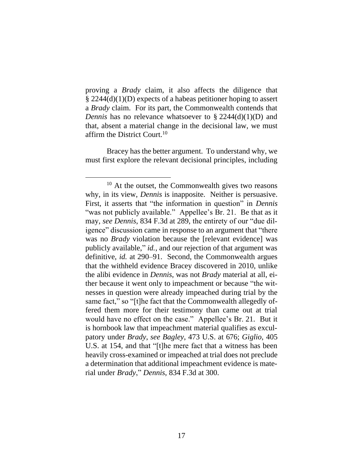proving a *Brady* claim, it also affects the diligence that § 2244(d)(1)(D) expects of a habeas petitioner hoping to assert a *Brady* claim. For its part, the Commonwealth contends that *Dennis* has no relevance whatsoever to § 2244(d)(1)(D) and that, absent a material change in the decisional law, we must affirm the District Court.<sup>10</sup>

Bracey has the better argument. To understand why, we must first explore the relevant decisional principles, including

<sup>&</sup>lt;sup>10</sup> At the outset, the Commonwealth gives two reasons why, in its view, *Dennis* is inapposite. Neither is persuasive. First, it asserts that "the information in question" in *Dennis* "was not publicly available." Appellee's Br. 21. Be that as it may, *see Dennis*, 834 F.3d at 289, the entirety of our "due diligence" discussion came in response to an argument that "there was no *Brady* violation because the [relevant evidence] was publicly available," *id.*, and our rejection of that argument was definitive, *id.* at 290–91. Second, the Commonwealth argues that the withheld evidence Bracey discovered in 2010, unlike the alibi evidence in *Dennis*, was not *Brady* material at all, either because it went only to impeachment or because "the witnesses in question were already impeached during trial by the same fact," so "[t]he fact that the Commonwealth allegedly offered them more for their testimony than came out at trial would have no effect on the case." Appellee's Br. 21. But it is hornbook law that impeachment material qualifies as exculpatory under *Brady*, *see Bagley*, 473 U.S. at 676; *Giglio*, 405 U.S. at 154, and that "[t]he mere fact that a witness has been heavily cross-examined or impeached at trial does not preclude a determination that additional impeachment evidence is material under *Brady*," *Dennis*, 834 F.3d at 300.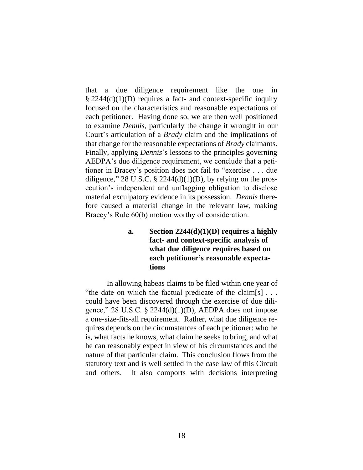that a due diligence requirement like the one in  $\S 2244(d)(1)(D)$  requires a fact- and context-specific inquiry focused on the characteristics and reasonable expectations of each petitioner. Having done so, we are then well positioned to examine *Dennis*, particularly the change it wrought in our Court's articulation of a *Brady* claim and the implications of that change for the reasonable expectations of *Brady* claimants. Finally, applying *Dennis*'s lessons to the principles governing AEDPA's due diligence requirement, we conclude that a petitioner in Bracey's position does not fail to "exercise . . . due diligence," 28 U.S.C. § 2244(d)(1)(D), by relying on the prosecution's independent and unflagging obligation to disclose material exculpatory evidence in its possession. *Dennis* therefore caused a material change in the relevant law, making Bracey's Rule 60(b) motion worthy of consideration.

# **a. Section 2244(d)(1)(D) requires a highly fact- and context-specific analysis of what due diligence requires based on each petitioner's reasonable expectations**

In allowing habeas claims to be filed within one year of "the date on which the factual predicate of the claim[s] . . . could have been discovered through the exercise of due diligence," 28 U.S.C.  $\S$  2244(d)(1)(D), AEDPA does not impose a one-size-fits-all requirement. Rather, what due diligence requires depends on the circumstances of each petitioner: who he is, what facts he knows, what claim he seeks to bring, and what he can reasonably expect in view of his circumstances and the nature of that particular claim. This conclusion flows from the statutory text and is well settled in the case law of this Circuit and others. It also comports with decisions interpreting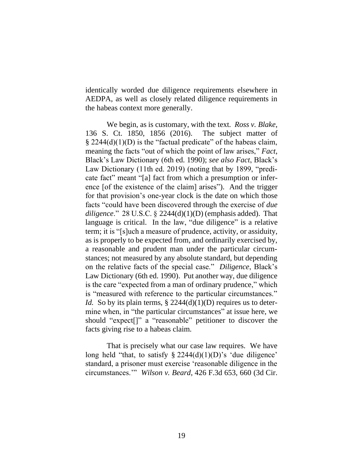identically worded due diligence requirements elsewhere in AEDPA, as well as closely related diligence requirements in the habeas context more generally.

We begin, as is customary, with the text. *Ross v. Blake*, 136 S. Ct. 1850, 1856 (2016). The subject matter of  $\S 2244(d)(1)(D)$  is the "factual predicate" of the habeas claim, meaning the facts "out of which the point of law arises," *Fact*, Black's Law Dictionary (6th ed. 1990); *see also Fact*, Black's Law Dictionary (11th ed. 2019) (noting that by 1899, "predicate fact" meant "[a] fact from which a presumption or inference [of the existence of the claim] arises"). And the trigger for that provision's one-year clock is the date on which those facts "could have been discovered through the exercise of *due diligence*." 28 U.S.C. § 2244(d)(1)(D) (emphasis added). That language is critical. In the law, "due diligence" is a relative term; it is "[s]uch a measure of prudence, activity, or assiduity, as is properly to be expected from, and ordinarily exercised by, a reasonable and prudent man under the particular circumstances; not measured by any absolute standard, but depending on the relative facts of the special case." *Diligence*, Black's Law Dictionary (6th ed. 1990). Put another way, due diligence is the care "expected from a man of ordinary prudence," which is "measured with reference to the particular circumstances." *Id.* So by its plain terms,  $\S 2244(d)(1)(D)$  requires us to determine when, in "the particular circumstances" at issue here, we should "expect[]" a "reasonable" petitioner to discover the facts giving rise to a habeas claim.

That is precisely what our case law requires. We have long held "that, to satisfy  $\S$  2244(d)(1)(D)'s 'due diligence' standard, a prisoner must exercise 'reasonable diligence in the circumstances.'" *Wilson v. Beard*, 426 F.3d 653, 660 (3d Cir.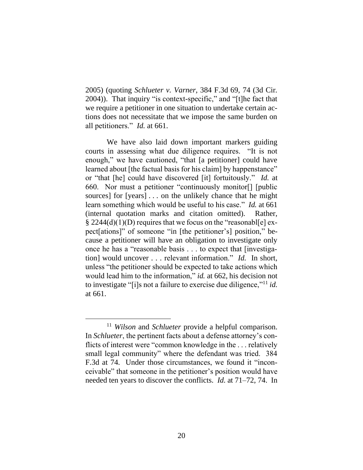2005) (quoting *Schlueter v. Varner*, 384 F.3d 69, 74 (3d Cir. 2004)). That inquiry "is context-specific," and "[t]he fact that we require a petitioner in one situation to undertake certain actions does not necessitate that we impose the same burden on all petitioners." *Id.* at 661.

We have also laid down important markers guiding courts in assessing what due diligence requires. "It is not enough," we have cautioned, "that [a petitioner] could have learned about [the factual basis for his claim] by happenstance" or "that [he] could have discovered [it] fortuitously." *Id.* at 660. Nor must a petitioner "continuously monitor[] [public sources] for [years] . . . on the unlikely chance that he might learn something which would be useful to his case." *Id.* at 661 (internal quotation marks and citation omitted). Rather,  $\S 2244(d)(1)(D)$  requires that we focus on the "reasonable] expect[ations]" of someone "in [the petitioner's] position," because a petitioner will have an obligation to investigate only once he has a "reasonable basis . . . to expect that [investigation] would uncover . . . relevant information." *Id.* In short, unless "the petitioner should be expected to take actions which would lead him to the information," *id.* at 662, his decision not to investigate "[i]s not a failure to exercise due diligence,"<sup>11</sup> *id.* at 661.

<sup>11</sup> *Wilson* and *Schlueter* provide a helpful comparison. In *Schlueter*, the pertinent facts about a defense attorney's conflicts of interest were "common knowledge in the . . . relatively small legal community" where the defendant was tried. 384 F.3d at 74. Under those circumstances, we found it "inconceivable" that someone in the petitioner's position would have needed ten years to discover the conflicts. *Id.* at 71–72, 74. In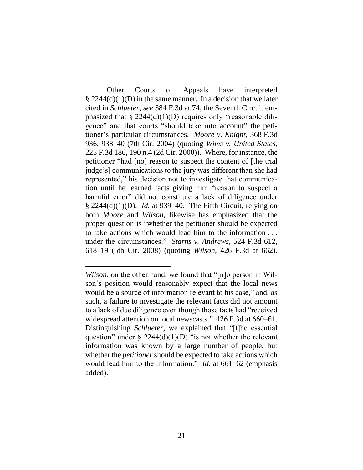Other Courts of Appeals have interpreted  $\S$  2244(d)(1)(D) in the same manner. In a decision that we later cited in *Schlueter*, *see* 384 F.3d at 74, the Seventh Circuit emphasized that  $\S 2244(d)(1)(D)$  requires only "reasonable diligence" and that courts "should take into account" the petitioner's particular circumstances. *Moore v. Knight*, 368 F.3d 936, 938–40 (7th Cir. 2004) (quoting *Wims v. United States*, 225 F.3d 186, 190 n.4 (2d Cir. 2000)). Where, for instance, the petitioner "had [no] reason to suspect the content of [the trial judge's] communications to the jury was different than she had represented," his decision not to investigate that communication until he learned facts giving him "reason to suspect a harmful error" did not constitute a lack of diligence under § 2244(d)(1)(D). *Id.* at 939–40. The Fifth Circuit, relying on both *Moore* and *Wilson*, likewise has emphasized that the proper question is "whether the petitioner should be expected to take actions which would lead him to the information . . . under the circumstances." *Starns v. Andrews*, 524 F.3d 612, 618–19 (5th Cir. 2008) (quoting *Wilson*, 426 F.3d at 662).

*Wilson*, on the other hand, we found that "[n]o person in Wilson's position would reasonably expect that the local news would be a source of information relevant to his case," and, as such, a failure to investigate the relevant facts did not amount to a lack of due diligence even though those facts had "received widespread attention on local newscasts." 426 F.3d at 660–61. Distinguishing *Schlueter*, we explained that "[t]he essential question" under  $\S 2244(d)(1)(D)$  "is not whether the relevant information was known by a large number of people, but whether the *petitioner* should be expected to take actions which would lead him to the information." *Id.* at 661–62 (emphasis added).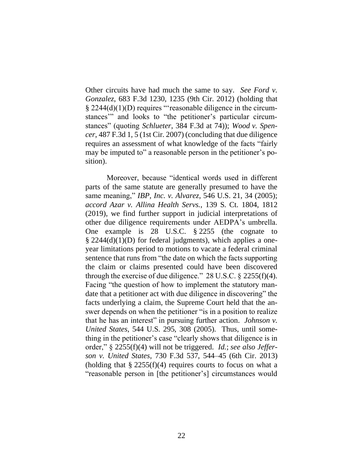Other circuits have had much the same to say. *See Ford v. Gonzalez*, 683 F.3d 1230, 1235 (9th Cir. 2012) (holding that § 2244(d)(1)(D) requires "'reasonable diligence in the circumstances'" and looks to "the petitioner's particular circumstances" (quoting *Schlueter*, 384 F.3d at 74)); *Wood v. Spencer*, 487 F.3d 1, 5 (1st Cir. 2007) (concluding that due diligence requires an assessment of what knowledge of the facts "fairly may be imputed to" a reasonable person in the petitioner's position).

Moreover, because "identical words used in different parts of the same statute are generally presumed to have the same meaning," *IBP, Inc. v. Alvarez*, 546 U.S. 21, 34 (2005); *accord Azar v. Allina Health Servs.*, 139 S. Ct. 1804, 1812 (2019), we find further support in judicial interpretations of other due diligence requirements under AEDPA's umbrella. One example is 28 U.S.C. § 2255 (the cognate to § 2244(d)(1)(D) for federal judgments), which applies a oneyear limitations period to motions to vacate a federal criminal sentence that runs from "the date on which the facts supporting the claim or claims presented could have been discovered through the exercise of due diligence."  $28 \text{ U.S.C.} \$   $2255(f)(4)$ . Facing "the question of how to implement the statutory mandate that a petitioner act with due diligence in discovering" the facts underlying a claim, the Supreme Court held that the answer depends on when the petitioner "is in a position to realize that he has an interest" in pursuing further action. *Johnson v. United States*, 544 U.S. 295, 308 (2005). Thus, until something in the petitioner's case "clearly shows that diligence is in order," § 2255(f)(4) will not be triggered. *Id.*; *see also Jefferson v. United States*, 730 F.3d 537, 544–45 (6th Cir. 2013) (holding that  $\S 2255(f)(4)$  requires courts to focus on what a "reasonable person in [the petitioner's] circumstances would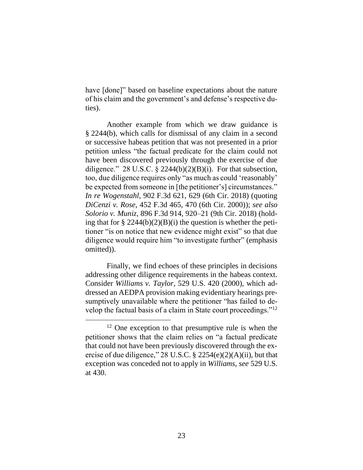have [done]" based on baseline expectations about the nature of his claim and the government's and defense's respective duties).

Another example from which we draw guidance is § 2244(b), which calls for dismissal of any claim in a second or successive habeas petition that was not presented in a prior petition unless "the factual predicate for the claim could not have been discovered previously through the exercise of due diligence." 28 U.S.C.  $\S$  2244(b)(2)(B)(i). For that subsection, too, due diligence requires only "as much as could 'reasonably' be expected from someone in [the petitioner's] circumstances." *In re Wogenstahl*, 902 F.3d 621, 629 (6th Cir. 2018) (quoting *DiCenzi v. Rose*, 452 F.3d 465, 470 (6th Cir. 2000)); *see also Solorio v. Muniz*, 896 F.3d 914, 920–21 (9th Cir. 2018) (holding that for  $\S 2244(b)(2)(B)(i)$  the question is whether the petitioner "is on notice that new evidence might exist" so that due diligence would require him "to investigate further" (emphasis omitted)).

Finally, we find echoes of these principles in decisions addressing other diligence requirements in the habeas context. Consider *Williams v. Taylor*, 529 U.S. 420 (2000), which addressed an AEDPA provision making evidentiary hearings presumptively unavailable where the petitioner "has failed to develop the factual basis of a claim in State court proceedings."<sup>12</sup>

<sup>&</sup>lt;sup>12</sup> One exception to that presumptive rule is when the petitioner shows that the claim relies on "a factual predicate that could not have been previously discovered through the exercise of due diligence," 28 U.S.C. § 2254(e)(2)(A)(ii), but that exception was conceded not to apply in *Williams*, *see* 529 U.S. at 430.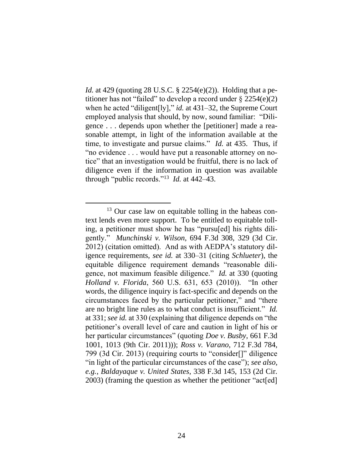*Id.* at 429 (quoting 28 U.S.C. § 2254(e)(2)). Holding that a petitioner has not "failed" to develop a record under  $\S 2254(e)(2)$ when he acted "diligent[ly]," *id.* at 431–32, the Supreme Court employed analysis that should, by now, sound familiar: "Diligence . . . depends upon whether the [petitioner] made a reasonable attempt, in light of the information available at the time, to investigate and pursue claims." *Id.* at 435. Thus, if "no evidence . . . would have put a reasonable attorney on notice" that an investigation would be fruitful, there is no lack of diligence even if the information in question was available through "public records."<sup>13</sup> *Id.* at 442–43.

<sup>&</sup>lt;sup>13</sup> Our case law on equitable tolling in the habeas context lends even more support. To be entitled to equitable tolling, a petitioner must show he has "pursu[ed] his rights diligently." *Munchinski v. Wilson*, 694 F.3d 308, 329 (3d Cir. 2012) (citation omitted). And as with AEDPA's statutory diligence requirements, *see id.* at 330–31 (citing *Schlueter*), the equitable diligence requirement demands "reasonable diligence, not maximum feasible diligence." *Id.* at 330 (quoting *Holland v. Florida*, 560 U.S. 631, 653 (2010)). "In other words, the diligence inquiry is fact-specific and depends on the circumstances faced by the particular petitioner," and "there are no bright line rules as to what conduct is insufficient." *Id.* at 331; *see id.* at 330 (explaining that diligence depends on "the petitioner's overall level of care and caution in light of his or her particular circumstances" (quoting *Doe v. Busby*, 661 F.3d 1001, 1013 (9th Cir. 2011))); *Ross v. Varano*, 712 F.3d 784, 799 (3d Cir. 2013) (requiring courts to "consider[]" diligence "in light of the particular circumstances of the case"); *see also, e.g.*, *Baldayaque v. United States*, 338 F.3d 145, 153 (2d Cir. 2003) (framing the question as whether the petitioner "act[ed]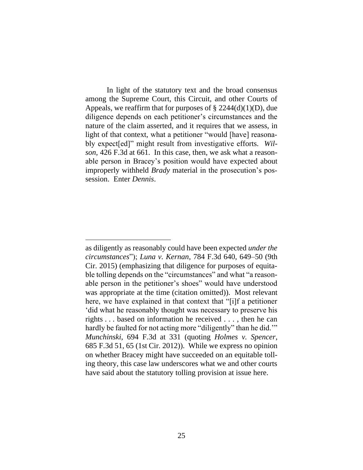In light of the statutory text and the broad consensus among the Supreme Court, this Circuit, and other Courts of Appeals, we reaffirm that for purposes of  $\S 2244(d)(1)(D)$ , due diligence depends on each petitioner's circumstances and the nature of the claim asserted, and it requires that we assess, in light of that context, what a petitioner "would [have] reasonably expect[ed]" might result from investigative efforts. *Wilson*, 426 F.3d at 661. In this case, then, we ask what a reasonable person in Bracey's position would have expected about improperly withheld *Brady* material in the prosecution's possession. Enter *Dennis*.

as diligently as reasonably could have been expected *under the circumstances*"); *Luna v. Kernan*, 784 F.3d 640, 649–50 (9th Cir. 2015) (emphasizing that diligence for purposes of equitable tolling depends on the "circumstances" and what "a reasonable person in the petitioner's shoes" would have understood was appropriate at the time (citation omitted)). Most relevant here, we have explained in that context that "[i]f a petitioner 'did what he reasonably thought was necessary to preserve his rights . . . based on information he received . . . , then he can hardly be faulted for not acting more "diligently" than he did." *Munchinski*, 694 F.3d at 331 (quoting *Holmes v. Spencer*, 685 F.3d 51, 65 (1st Cir. 2012)). While we express no opinion on whether Bracey might have succeeded on an equitable tolling theory, this case law underscores what we and other courts have said about the statutory tolling provision at issue here.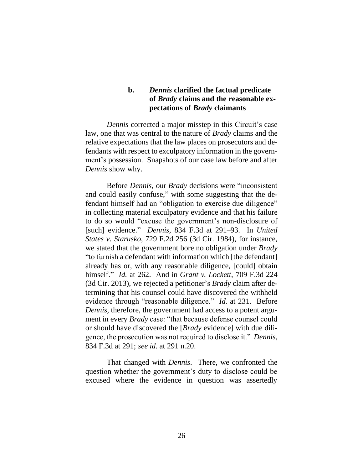## **b.** *Dennis* **clarified the factual predicate of** *Brady* **claims and the reasonable expectations of** *Brady* **claimants**

*Dennis* corrected a major misstep in this Circuit's case law, one that was central to the nature of *Brady* claims and the relative expectations that the law places on prosecutors and defendants with respect to exculpatory information in the government's possession. Snapshots of our case law before and after *Dennis* show why.

Before *Dennis*, our *Brady* decisions were "inconsistent and could easily confuse," with some suggesting that the defendant himself had an "obligation to exercise due diligence" in collecting material exculpatory evidence and that his failure to do so would "excuse the government's non-disclosure of [such] evidence." *Dennis*, 834 F.3d at 291–93. In *United States v. Starusko*, 729 F.2d 256 (3d Cir. 1984), for instance, we stated that the government bore no obligation under *Brady* "to furnish a defendant with information which [the defendant] already has or, with any reasonable diligence, [could] obtain himself." *Id.* at 262. And in *Grant v. Lockett*, 709 F.3d 224 (3d Cir. 2013), we rejected a petitioner's *Brady* claim after determining that his counsel could have discovered the withheld evidence through "reasonable diligence." *Id.* at 231. Before *Dennis*, therefore, the government had access to a potent argument in every *Brady* case: "that because defense counsel could or should have discovered the [*Brady* evidence] with due diligence, the prosecution was not required to disclose it." *Dennis*, 834 F.3d at 291; *see id.* at 291 n.20.

That changed with *Dennis*. There, we confronted the question whether the government's duty to disclose could be excused where the evidence in question was assertedly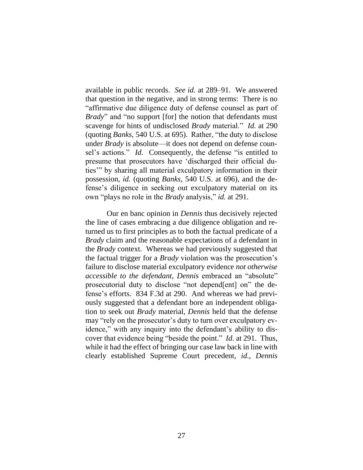available in public records. *See id.* at 289–91. We answered that question in the negative, and in strong terms: There is no "affirmative due diligence duty of defense counsel as part of *Brady*" and "no support [for] the notion that defendants must scavenge for hints of undisclosed *Brady* material." *Id.* at 290 (quoting *Banks*, 540 U.S. at 695). Rather, "the duty to disclose under *Brady* is absolute—it does not depend on defense counsel's actions." *Id.* Consequently, the defense "is entitled to presume that prosecutors have 'discharged their official duties'" by sharing all material exculpatory information in their possession, *id.* (quoting *Banks*, 540 U.S. at 696), and the defense's diligence in seeking out exculpatory material on its own "plays no role in the *Brady* analysis," *id.* at 291.

Our en banc opinion in *Dennis* thus decisively rejected the line of cases embracing a due diligence obligation and returned us to first principles as to both the factual predicate of a *Brady* claim and the reasonable expectations of a defendant in the *Brady* context. Whereas we had previously suggested that the factual trigger for a *Brady* violation was the prosecution's failure to disclose material exculpatory evidence *not otherwise accessible to the defendant*, *Dennis* embraced an "absolute" prosecutorial duty to disclose "not depend[ent] on" the defense's efforts. 834 F.3d at 290. And whereas we had previously suggested that a defendant bore an independent obligation to seek out *Brady* material, *Dennis* held that the defense may "rely on the prosecutor's duty to turn over exculpatory evidence," with any inquiry into the defendant's ability to discover that evidence being "beside the point." *Id.* at 291. Thus, while it had the effect of bringing our case law back in line with clearly established Supreme Court precedent, *id.*, *Dennis*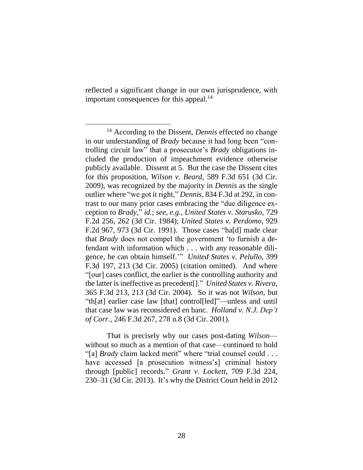reflected a significant change in our own jurisprudence, with important consequences for this appeal.<sup>14</sup>

That is precisely why our cases post-dating *Wilson* without so much as a mention of that case—continued to hold "[a] *Brady* claim lacked merit" where "trial counsel could . . . have accessed [a prosecution witness's] criminal history through [public] records." *Grant v. Lockett*, 709 F.3d 224, 230–31 (3d Cir. 2013). It's why the District Court held in 2012

<sup>14</sup> According to the Dissent, *Dennis* effected no change in our understanding of *Brady* because it had long been "controlling circuit law" that a prosecutor's *Brady* obligations included the production of impeachment evidence otherwise publicly available. Dissent at 5. But the case the Dissent cites for this proposition, *Wilson v. Beard*, 589 F.3d 651 (3d Cir. 2009), was recognized by the majority in *Dennis* as the single outlier where "we got it right," *Dennis*, 834 F.3d at 292, in contrast to our many prior cases embracing the "due diligence exception to *Brady*," *id.*; *see, e.g.*, *United States v. Starusko*, 729 F.2d 256, 262 (3d Cir. 1984); *United States v. Perdomo*, 929 F.2d 967, 973 (3d Cir. 1991). Those cases "ha[d] made clear that *Brady* does not compel the government 'to furnish a defendant with information which . . . with any reasonable diligence, he can obtain himself.'" *United States v. Pelullo*, 399 F.3d 197, 213 (3d Cir. 2005) (citation omitted). And where "[our] cases conflict, the earlier is the controlling authority and the latter is ineffective as precedent[]." *United States v. Rivera*, 365 F.3d 213, 213 (3d Cir. 2004). So it was not *Wilson*, but "th[at] earlier case law [that] control[led]"—unless and until that case law was reconsidered en banc. *Holland v. N.J. Dep't of Corr.*, 246 F.3d 267, 278 n.8 (3d Cir. 2001).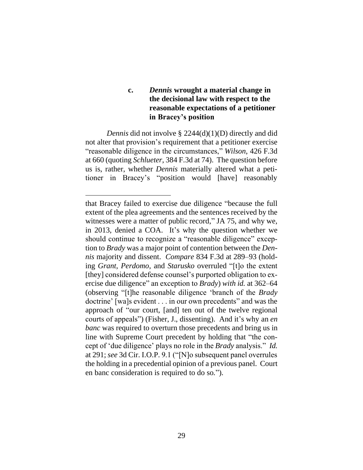## **c.** *Dennis* **wrought a material change in the decisional law with respect to the reasonable expectations of a petitioner in Bracey's position**

*Dennis* did not involve § 2244(d)(1)(D) directly and did not alter that provision's requirement that a petitioner exercise "reasonable diligence in the circumstances," *Wilson*, 426 F.3d at 660 (quoting *Schlueter*, 384 F.3d at 74). The question before us is, rather, whether *Dennis* materially altered what a petitioner in Bracey's "position would [have] reasonably

that Bracey failed to exercise due diligence "because the full extent of the plea agreements and the sentences received by the witnesses were a matter of public record," JA 75, and why we, in 2013, denied a COA. It's why the question whether we should continue to recognize a "reasonable diligence" exception to *Brady* was a major point of contention between the *Dennis* majority and dissent. *Compare* 834 F.3d at 289–93 (holding *Grant*, *Perdomo*, and *Starusko* overruled "[t]o the extent [they] considered defense counsel's purported obligation to exercise due diligence" an exception to *Brady*) *with id.* at 362–64 (observing "[t]he reasonable diligence 'branch of the *Brady*  doctrine' [wa]s evident . . . in our own precedents" and was the approach of "our court, [and] ten out of the twelve regional courts of appeals") (Fisher, J., dissenting). And it's why an *en banc* was required to overturn those precedents and bring us in line with Supreme Court precedent by holding that "the concept of 'due diligence' plays no role in the *Brady* analysis." *Id.* at 291; *see* 3d Cir. I.O.P. 9.1 ("[N]o subsequent panel overrules the holding in a precedential opinion of a previous panel. Court en banc consideration is required to do so.").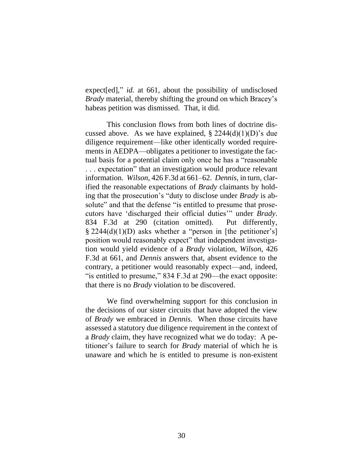expect[ed]," *id.* at 661, about the possibility of undisclosed *Brady* material, thereby shifting the ground on which Bracey's habeas petition was dismissed. That, it did.

This conclusion flows from both lines of doctrine discussed above. As we have explained,  $\S 2244(d)(1)(D)$ 's due diligence requirement—like other identically worded requirements in AEDPA—obligates a petitioner to investigate the factual basis for a potential claim only once he has a "reasonable . . . expectation" that an investigation would produce relevant information. *Wilson*, 426 F.3d at 661–62. *Dennis*, in turn, clarified the reasonable expectations of *Brady* claimants by holding that the prosecution's "duty to disclose under *Brady* is absolute" and that the defense "is entitled to presume that prosecutors have 'discharged their official duties'" under *Brady*. 834 F.3d at 290 (citation omitted). Put differently, § 2244(d)(1)(D) asks whether a "person in [the petitioner's] position would reasonably expect" that independent investigation would yield evidence of a *Brady* violation, *Wilson*, 426 F.3d at 661, and *Dennis* answers that, absent evidence to the contrary, a petitioner would reasonably expect—and, indeed, "is entitled to presume," 834 F.3d at 290—the exact opposite: that there is no *Brady* violation to be discovered.

We find overwhelming support for this conclusion in the decisions of our sister circuits that have adopted the view of *Brady* we embraced in *Dennis*. When those circuits have assessed a statutory due diligence requirement in the context of a *Brady* claim, they have recognized what we do today: A petitioner's failure to search for *Brady* material of which he is unaware and which he is entitled to presume is non-existent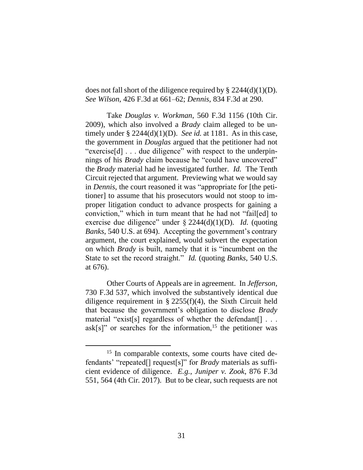does not fall short of the diligence required by  $\S 2244(d)(1)(D)$ . *See Wilson*, 426 F.3d at 661–62; *Dennis,* 834 F.3d at 290.

Take *Douglas v. Workman*, 560 F.3d 1156 (10th Cir. 2009), which also involved a *Brady* claim alleged to be untimely under § 2244(d)(1)(D). *See id.* at 1181. As in this case, the government in *Douglas* argued that the petitioner had not "exercise[d] . . . due diligence" with respect to the underpinnings of his *Brady* claim because he "could have uncovered" the *Brady* material had he investigated further. *Id.* The Tenth Circuit rejected that argument. Previewing what we would say in *Dennis*, the court reasoned it was "appropriate for [the petitioner] to assume that his prosecutors would not stoop to improper litigation conduct to advance prospects for gaining a conviction," which in turn meant that he had not "fail[ed] to exercise due diligence" under § 2244(d)(1)(D). *Id.* (quoting *Banks*, 540 U.S. at 694). Accepting the government's contrary argument, the court explained, would subvert the expectation on which *Brady* is built, namely that it is "incumbent on the State to set the record straight." *Id.* (quoting *Banks*, 540 U.S. at 676).

Other Courts of Appeals are in agreement. In *Jefferson*, 730 F.3d 537, which involved the substantively identical due diligence requirement in  $\S$  2255(f)(4), the Sixth Circuit held that because the government's obligation to disclose *Brady* material "exist[s] regardless of whether the defendant[] . . . ask[s]" or searches for the information,<sup>15</sup> the petitioner was

<span id="page-30-0"></span><sup>&</sup>lt;sup>15</sup> In comparable contexts, some courts have cited defendants' "repeated[] request[s]" for *Brady* materials as sufficient evidence of diligence. *E.g.*, *Juniper v. Zook*, 876 F.3d 551, 564 (4th Cir. 2017). But to be clear, such requests are not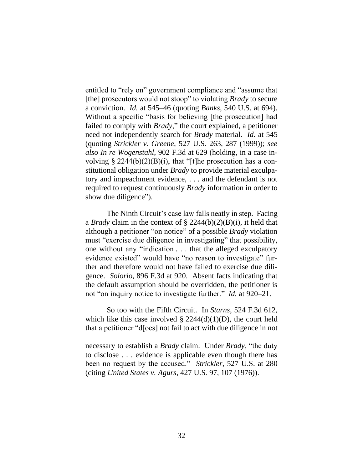entitled to "rely on" government compliance and "assume that [the] prosecutors would not stoop" to violating *Brady* to secure a conviction. *Id.* at 545–46 (quoting *Banks*, 540 U.S. at 694). Without a specific "basis for believing [the prosecution] had failed to comply with *Brady*," the court explained, a petitioner need not independently search for *Brady* material. *Id.* at 545 (quoting *Strickler v. Greene*, 527 U.S. 263, 287 (1999)); *see also In re Wogenstahl*, 902 F.3d at 629 (holding, in a case involving § 2244(b)(2)(B)(i), that "[t]he prosecution has a constitutional obligation under *Brady* to provide material exculpatory and impeachment evidence, . . . and the defendant is not required to request continuously *Brady* information in order to show due diligence").

The Ninth Circuit's case law falls neatly in step. Facing a *Brady* claim in the context of § 2244(b)(2)(B)(i), it held that although a petitioner "on notice" of a possible *Brady* violation must "exercise due diligence in investigating" that possibility, one without any "indication . . . that the alleged exculpatory evidence existed" would have "no reason to investigate" further and therefore would not have failed to exercise due diligence. *Solorio*, 896 F.3d at 920. Absent facts indicating that the default assumption should be overridden, the petitioner is not "on inquiry notice to investigate further." *Id.* at 920–21.

So too with the Fifth Circuit. In *Starns*, 524 F.3d 612, which like this case involved  $\S 2244(d)(1)(D)$ , the court held that a petitioner "d[oes] not fail to act with due diligence in not

necessary to establish a *Brady* claim: Under *Brady*, "the duty to disclose . . . evidence is applicable even though there has been no request by the accused." *Strickler*, 527 U.S. at 280 (citing *United States v. Agurs*, 427 U.S. 97, 107 (1976)).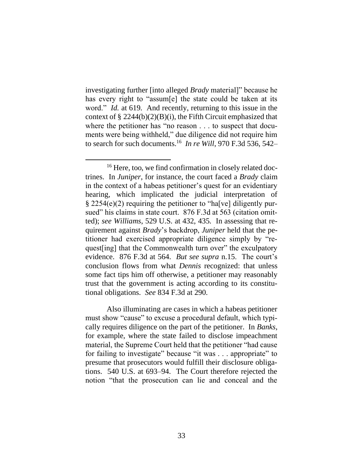investigating further [into alleged *Brady* material]" because he has every right to "assum[e] the state could be taken at its word." *Id.* at 619. And recently, returning to this issue in the context of  $\S 2244(b)(2)(B)(i)$ , the Fifth Circuit emphasized that where the petitioner has "no reason . . . to suspect that documents were being withheld," due diligence did not require him to search for such documents.<sup>16</sup> *In re Will*, 970 F.3d 536, 542–

Also illuminating are cases in which a habeas petitioner must show "cause" to excuse a procedural default, which typically requires diligence on the part of the petitioner. In *Banks*, for example, where the state failed to disclose impeachment material, the Supreme Court held that the petitioner "had cause for failing to investigate" because "it was . . . appropriate" to presume that prosecutors would fulfill their disclosure obligations. 540 U.S. at 693–94. The Court therefore rejected the notion "that the prosecution can lie and conceal and the

<sup>&</sup>lt;sup>16</sup> Here, too, we find confirmation in closely related doctrines. In *Juniper*, for instance, the court faced a *Brady* claim in the context of a habeas petitioner's quest for an evidentiary hearing, which implicated the judicial interpretation of § 2254(e)(2) requiring the petitioner to "ha[ve] diligently pursued" his claims in state court. 876 F.3d at 563 (citation omitted); *see Williams*, 529 U.S. at 432, 435. In assessing that requirement against *Brady*'s backdrop, *Juniper* held that the petitioner had exercised appropriate diligence simply by "request [ing] that the Commonwealth turn over" the exculpatory evidence. 876 F.3d at 564. *But see supra* n[.15.](#page-30-0) The court's conclusion flows from what *Dennis* recognized: that unless some fact tips him off otherwise, a petitioner may reasonably trust that the government is acting according to its constitutional obligations. *See* 834 F.3d at 290.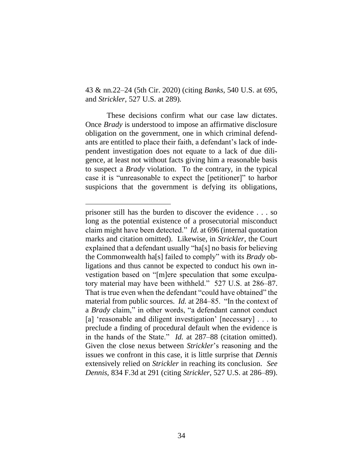43 & nn.22–24 (5th Cir. 2020) (citing *Banks*, 540 U.S. at 695, and *Strickler*, 527 U.S. at 289).

These decisions confirm what our case law dictates. Once *Brady* is understood to impose an affirmative disclosure obligation on the government, one in which criminal defendants are entitled to place their faith, a defendant's lack of independent investigation does not equate to a lack of due diligence, at least not without facts giving him a reasonable basis to suspect a *Brady* violation. To the contrary, in the typical case it is "unreasonable to expect the [petitioner]" to harbor suspicions that the government is defying its obligations,

prisoner still has the burden to discover the evidence . . . so long as the potential existence of a prosecutorial misconduct claim might have been detected." *Id.* at 696 (internal quotation marks and citation omitted). Likewise, in *Strickler*, the Court explained that a defendant usually "ha[s] no basis for believing the Commonwealth ha[s] failed to comply" with its *Brady* obligations and thus cannot be expected to conduct his own investigation based on "[m]ere speculation that some exculpatory material may have been withheld." 527 U.S. at 286–87. That is true even when the defendant "could have obtained" the material from public sources. *Id.* at 284–85. "In the context of a *Brady* claim," in other words, "a defendant cannot conduct [a] 'reasonable and diligent investigation' [necessary] . . . to preclude a finding of procedural default when the evidence is in the hands of the State." *Id.* at 287–88 (citation omitted). Given the close nexus between *Strickler*'s reasoning and the issues we confront in this case, it is little surprise that *Dennis* extensively relied on *Strickler* in reaching its conclusion. *See Dennis*, 834 F.3d at 291 (citing *Strickler*, 527 U.S. at 286–89).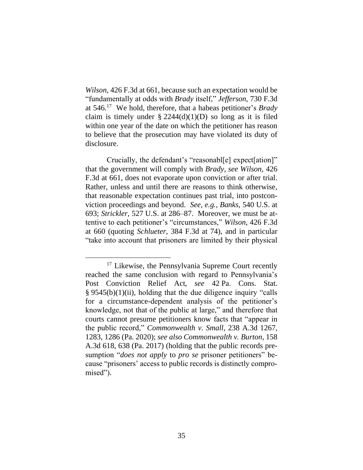*Wilson*, 426 F.3d at 661, because such an expectation would be "fundamentally at odds with *Brady* itself," *Jefferson*, 730 F.3d at 546.<sup>17</sup> We hold, therefore, that a habeas petitioner's *Brady* claim is timely under  $\S 2244(d)(1)(D)$  so long as it is filed within one year of the date on which the petitioner has reason to believe that the prosecution may have violated its duty of disclosure.

Crucially, the defendant's "reasonabl[e] expect[ation]" that the government will comply with *Brady*, *see Wilson*, 426 F.3d at 661, does not evaporate upon conviction or after trial. Rather, unless and until there are reasons to think otherwise, that reasonable expectation continues past trial, into postconviction proceedings and beyond. *See, e.g.*, *Banks*, 540 U.S. at 693; *Strickler*, 527 U.S. at 286–87. Moreover, we must be attentive to each petitioner's "circumstances," *Wilson*, 426 F.3d at 660 (quoting *Schlueter*, 384 F.3d at 74), and in particular "take into account that prisoners are limited by their physical

<sup>&</sup>lt;sup>17</sup> Likewise, the Pennsylvania Supreme Court recently reached the same conclusion with regard to Pennsylvania's Post Conviction Relief Act, *see* 42 Pa. Cons. Stat. § 9545(b)(1)(ii), holding that the due diligence inquiry "calls for a circumstance-dependent analysis of the petitioner's knowledge, not that of the public at large," and therefore that courts cannot presume petitioners know facts that "appear in the public record," *Commonwealth v. Small*, 238 A.3d 1267, 1283, 1286 (Pa. 2020); *see also Commonwealth v. Burton*, 158 A.3d 618, 638 (Pa. 2017) (holding that the public records presumption "*does not apply* to *pro se* prisoner petitioners" because "prisoners' access to public records is distinctly compromised").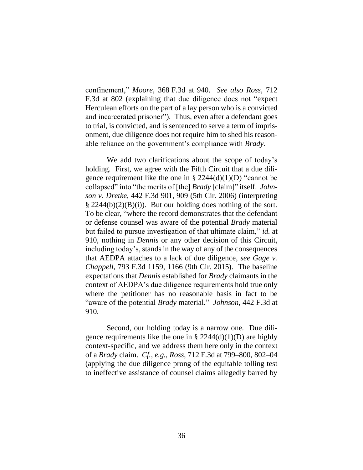confinement," *Moore*, 368 F.3d at 940. *See also Ross*, 712 F.3d at 802 (explaining that due diligence does not "expect Herculean efforts on the part of a lay person who is a convicted and incarcerated prisoner"). Thus, even after a defendant goes to trial, is convicted, and is sentenced to serve a term of imprisonment, due diligence does not require him to shed his reasonable reliance on the government's compliance with *Brady*.

We add two clarifications about the scope of today's holding. First, we agree with the Fifth Circuit that a due diligence requirement like the one in  $\S 2244(d)(1)(D)$  "cannot be collapsed" into "the merits of [the] *Brady* [claim]" itself. *Johnson v. Dretke*, 442 F.3d 901, 909 (5th Cir. 2006) (interpreting  $\S$  2244(b)(2)(B)(i)). But our holding does nothing of the sort. To be clear, "where the record demonstrates that the defendant or defense counsel was aware of the potential *Brady* material but failed to pursue investigation of that ultimate claim," *id.* at 910, nothing in *Dennis* or any other decision of this Circuit, including today's, stands in the way of any of the consequences that AEDPA attaches to a lack of due diligence, *see Gage v. Chappell*, 793 F.3d 1159, 1166 (9th Cir. 2015). The baseline expectations that *Dennis* established for *Brady* claimants in the context of AEDPA's due diligence requirements hold true only where the petitioner has no reasonable basis in fact to be "aware of the potential *Brady* material." *Johnson*, 442 F.3d at 910.

Second, our holding today is a narrow one. Due diligence requirements like the one in  $\S 2244(d)(1)(D)$  are highly context-specific, and we address them here only in the context of a *Brady* claim. *Cf., e.g.*, *Ross*, 712 F.3d at 799–800, 802–04 (applying the due diligence prong of the equitable tolling test to ineffective assistance of counsel claims allegedly barred by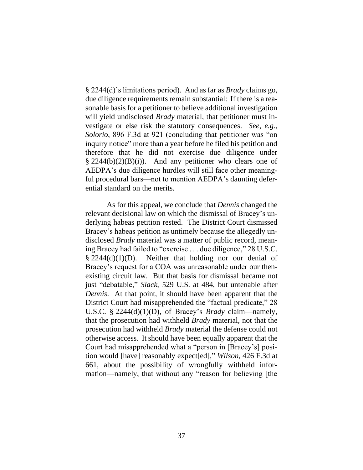§ 2244(d)'s limitations period). And as far as *Brady* claims go, due diligence requirements remain substantial: If there is a reasonable basis for a petitioner to believe additional investigation will yield undisclosed *Brady* material, that petitioner must investigate or else risk the statutory consequences. *See*, *e.g.*, *Solorio*, 896 F.3d at 921 (concluding that petitioner was "on inquiry notice" more than a year before he filed his petition and therefore that he did not exercise due diligence under  $\S 2244(b)(2)(B)(i)$ . And any petitioner who clears one of AEDPA's due diligence hurdles will still face other meaningful procedural bars—not to mention AEDPA's daunting deferential standard on the merits.

As for this appeal, we conclude that *Dennis* changed the relevant decisional law on which the dismissal of Bracey's underlying habeas petition rested. The District Court dismissed Bracey's habeas petition as untimely because the allegedly undisclosed *Brady* material was a matter of public record, meaning Bracey had failed to "exercise . . . due diligence," 28 U.S.C.  $§$  2244(d)(1)(D). Neither that holding nor our denial of Bracey's request for a COA was unreasonable under our thenexisting circuit law. But that basis for dismissal became not just "debatable," *Slack*, 529 U.S. at 484, but untenable after *Dennis*. At that point, it should have been apparent that the District Court had misapprehended the "factual predicate," 28 U.S.C. § 2244(d)(1)(D), of Bracey's *Brady* claim—namely, that the prosecution had withheld *Brady* material, not that the prosecution had withheld *Brady* material the defense could not otherwise access. It should have been equally apparent that the Court had misapprehended what a "person in [Bracey's] position would [have] reasonably expect[ed]," *Wilson*, 426 F.3d at 661, about the possibility of wrongfully withheld information—namely, that without any "reason for believing [the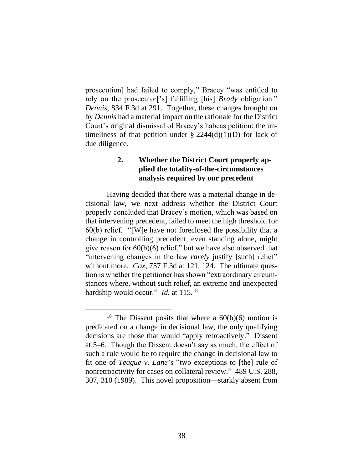prosecution] had failed to comply," Bracey "was entitled to rely on the prosecutor['s] fulfilling [his] *Brady* obligation." *Dennis*, 834 F.3d at 291. Together, these changes brought on by *Dennis* had a material impact on the rationale for the District Court's original dismissal of Bracey's habeas petition: the untimeliness of that petition under  $\S 2244(d)(1)(D)$  for lack of due diligence.

# **2. Whether the District Court properly applied the totality-of-the-circumstances analysis required by our precedent**

Having decided that there was a material change in decisional law, we next address whether the District Court properly concluded that Bracey's motion, which was based on that intervening precedent, failed to meet the high threshold for 60(b) relief. "[W]e have not foreclosed the possibility that a change in controlling precedent, even standing alone, might give reason for  $60(b)(6)$  relief," but we have also observed that "intervening changes in the law *rarely* justify [such] relief" without more. *Cox*, 757 F.3d at 121, 124. The ultimate question is whether the petitioner has shown "extraordinary circumstances where, without such relief, an extreme and unexpected hardship would occur." *Id.* at 115.<sup>18</sup>

<sup>&</sup>lt;sup>18</sup> The Dissent posits that where a  $60(b)(6)$  motion is predicated on a change in decisional law, the only qualifying decisions are those that would "apply retroactively." Dissent at 5–6. Though the Dissent doesn't say as much, the effect of such a rule would be to require the change in decisional law to fit one of *Teague v. Lane*'s "two exceptions to [the] rule of nonretroactivity for cases on collateral review." 489 U.S. 288, 307, 310 (1989). This novel proposition—starkly absent from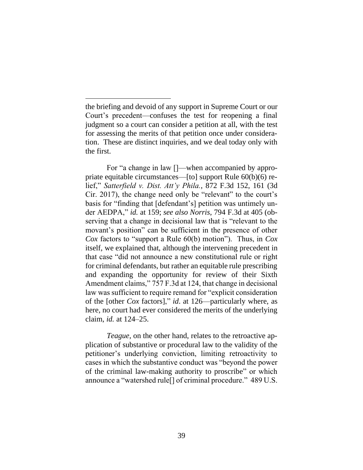For "a change in law []—when accompanied by appropriate equitable circumstances—[to] support Rule 60(b)(6) relief," *Satterfield v. Dist. Att'y Phila.*, 872 F.3d 152, 161 (3d Cir. 2017), the change need only be "relevant" to the court's basis for "finding that [defendant's] petition was untimely under AEDPA," *id.* at 159; *see also Norris*, 794 F.3d at 405 (observing that a change in decisional law that is "relevant to the movant's position" can be sufficient in the presence of other *Cox* factors to "support a Rule 60(b) motion"). Thus, in *Cox*  itself, we explained that, although the intervening precedent in that case "did not announce a new constitutional rule or right for criminal defendants, but rather an equitable rule prescribing and expanding the opportunity for review of their Sixth Amendment claims," 757 F.3d at 124, that change in decisional law was sufficient to require remand for "explicit consideration of the [other *Cox* factors]," *id*. at 126—particularly where, as here, no court had ever considered the merits of the underlying claim, *id.* at 124–25.

*Teague*, on the other hand, relates to the retroactive application of substantive or procedural law to the validity of the petitioner's underlying conviction, limiting retroactivity to cases in which the substantive conduct was "beyond the power of the criminal law-making authority to proscribe" or which announce a "watershed rule[] of criminal procedure." 489 U.S.

the briefing and devoid of any support in Supreme Court or our Court's precedent—confuses the test for reopening a final judgment so a court can consider a petition at all, with the test for assessing the merits of that petition once under consideration. These are distinct inquiries, and we deal today only with the first.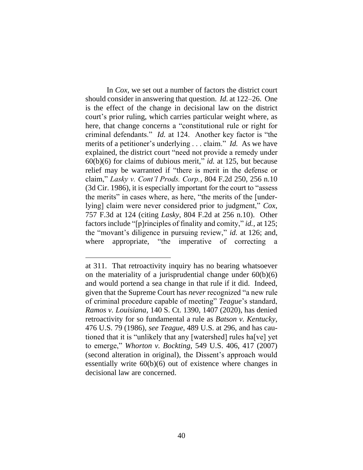In *Cox*, we set out a number of factors the district court should consider in answering that question. *Id.* at 122–26. One is the effect of the change in decisional law on the district court's prior ruling, which carries particular weight where, as here, that change concerns a "constitutional rule or right for criminal defendants." *Id.* at 124. Another key factor is "the merits of a petitioner's underlying . . . claim." *Id.* As we have explained, the district court "need not provide a remedy under 60(b)(6) for claims of dubious merit," *id.* at 125, but because relief may be warranted if "there is merit in the defense or claim," *Lasky v. Cont'l Prods. Corp.*, 804 F.2d 250, 256 n.10 (3d Cir. 1986), it is especially important for the court to "assess the merits" in cases where, as here, "the merits of the [underlying] claim were never considered prior to judgment," *Cox*, 757 F.3d at 124 (citing *Lasky*, 804 F.2d at 256 n.10). Other factors include "[p]rinciples of finality and comity," *id.*, at 125; the "movant's diligence in pursuing review," *id.* at 126; and, where appropriate, "the imperative of correcting a

at 311. That retroactivity inquiry has no bearing whatsoever on the materiality of a jurisprudential change under  $60(b)(6)$ and would portend a sea change in that rule if it did. Indeed, given that the Supreme Court has *never* recognized "a new rule of criminal procedure capable of meeting" *Teague*'s standard, *Ramos v. Louisiana*, 140 S. Ct. 1390, 1407 (2020), has denied retroactivity for so fundamental a rule as *Batson v. Kentucky*, 476 U.S. 79 (1986), *see Teague*, 489 U.S. at 296, and has cautioned that it is "unlikely that any [watershed] rules ha[ve] yet to emerge," *Whorton v. Bockting*, 549 U.S. 406, 417 (2007) (second alteration in original), the Dissent's approach would essentially write 60(b)(6) out of existence where changes in decisional law are concerned.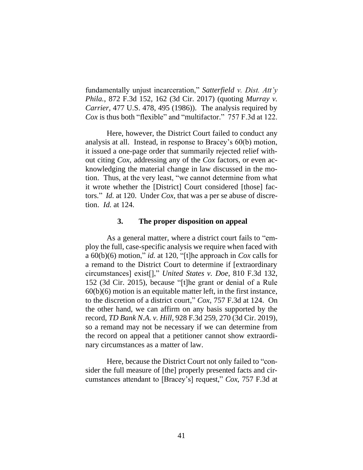fundamentally unjust incarceration," *Satterfield v. Dist. Att'y Phila.*, 872 F.3d 152, 162 (3d Cir. 2017) (quoting *Murray v. Carrier*, 477 U.S. 478, 495 (1986)). The analysis required by *Cox* is thus both "flexible" and "multifactor." 757 F.3d at 122.

Here, however, the District Court failed to conduct any analysis at all. Instead, in response to Bracey's 60(b) motion, it issued a one-page order that summarily rejected relief without citing *Cox*, addressing any of the *Cox* factors, or even acknowledging the material change in law discussed in the motion. Thus, at the very least, "we cannot determine from what it wrote whether the [District] Court considered [those] factors." *Id.* at 120. Under *Cox*, that was a per se abuse of discretion. *Id.* at 124.

### **3. The proper disposition on appeal**

As a general matter, where a district court fails to "employ the full, case-specific analysis we require when faced with a 60(b)(6) motion," *id.* at 120, "[t]he approach in *Cox* calls for a remand to the District Court to determine if [extraordinary circumstances] exist[]," *United States v. Doe*, 810 F.3d 132, 152 (3d Cir. 2015), because "[t]he grant or denial of a Rule 60(b)(6) motion is an equitable matter left, in the first instance, to the discretion of a district court," *Cox*, 757 F.3d at 124. On the other hand, we can affirm on any basis supported by the record, *TD Bank N.A. v. Hill*, 928 F.3d 259, 270 (3d Cir. 2019), so a remand may not be necessary if we can determine from the record on appeal that a petitioner cannot show extraordinary circumstances as a matter of law.

Here, because the District Court not only failed to "consider the full measure of [the] properly presented facts and circumstances attendant to [Bracey's] request," *Cox*, 757 F.3d at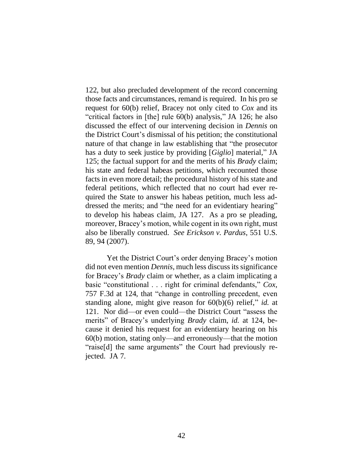122, but also precluded development of the record concerning those facts and circumstances, remand is required. In his pro se request for 60(b) relief, Bracey not only cited to *Cox* and its "critical factors in [the] rule 60(b) analysis," JA 126; he also discussed the effect of our intervening decision in *Dennis* on the District Court's dismissal of his petition; the constitutional nature of that change in law establishing that "the prosecutor has a duty to seek justice by providing [*Giglio*] material," JA 125; the factual support for and the merits of his *Brady* claim; his state and federal habeas petitions, which recounted those facts in even more detail; the procedural history of his state and federal petitions, which reflected that no court had ever required the State to answer his habeas petition, much less addressed the merits; and "the need for an evidentiary hearing" to develop his habeas claim, JA 127. As a pro se pleading, moreover, Bracey's motion, while cogent in its own right, must also be liberally construed. *See Erickson v. Pardus*, 551 U.S. 89, 94 (2007).

Yet the District Court's order denying Bracey's motion did not even mention *Dennis*, much less discuss its significance for Bracey's *Brady* claim or whether, as a claim implicating a basic "constitutional . . . right for criminal defendants," *Cox*, 757 F.3d at 124, that "change in controlling precedent, even standing alone, might give reason for 60(b)(6) relief," *id.* at 121. Nor did—or even could—the District Court "assess the merits" of Bracey's underlying *Brady* claim, *id.* at 124, because it denied his request for an evidentiary hearing on his 60(b) motion, stating only—and erroneously—that the motion "raise[d] the same arguments" the Court had previously rejected. JA 7.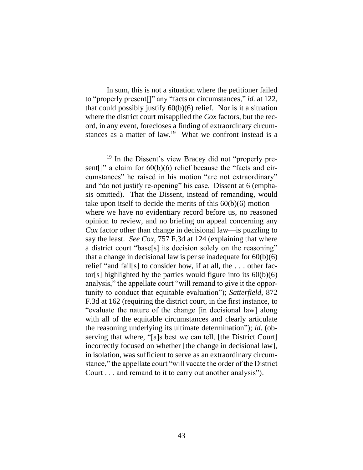In sum, this is not a situation where the petitioner failed to "properly present[]" any "facts or circumstances," *id.* at 122, that could possibly justify 60(b)(6) relief. Nor is it a situation where the district court misapplied the *Cox* factors, but the record, in any event, forecloses a finding of extraordinary circumstances as a matter of law.<sup>19</sup> What we confront instead is a

<sup>19</sup> In the Dissent's view Bracey did not "properly present[]" a claim for  $60(b)(6)$  relief because the "facts and circumstances" he raised in his motion "are not extraordinary" and "do not justify re-opening" his case. Dissent at 6 (emphasis omitted). That the Dissent, instead of remanding, would take upon itself to decide the merits of this 60(b)(6) motion where we have no evidentiary record before us, no reasoned opinion to review, and no briefing on appeal concerning any *Cox* factor other than change in decisional law—is puzzling to say the least. *See Cox*, 757 F.3d at 124 (explaining that where a district court "base[s] its decision solely on the reasoning" that a change in decisional law is per se inadequate for  $60(b)(6)$ relief "and fail[s] to consider how, if at all, the . . . other factor[s] highlighted by the parties would figure into its  $60(b)(6)$ analysis," the appellate court "will remand to give it the opportunity to conduct that equitable evaluation"); *Satterfield*, 872 F.3d at 162 (requiring the district court, in the first instance, to "evaluate the nature of the change [in decisional law] along with all of the equitable circumstances and clearly articulate the reasoning underlying its ultimate determination"); *id*. (observing that where, "[a]s best we can tell, [the District Court] incorrectly focused on whether [the change in decisional law], in isolation, was sufficient to serve as an extraordinary circumstance," the appellate court "will vacate the order of the District Court . . . and remand to it to carry out another analysis").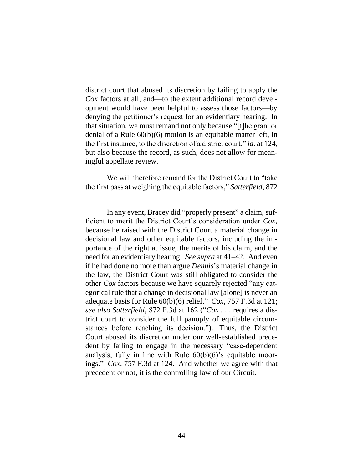district court that abused its discretion by failing to apply the *Cox* factors at all, and—to the extent additional record development would have been helpful to assess those factors—by denying the petitioner's request for an evidentiary hearing. In that situation, we must remand not only because "[t]he grant or denial of a Rule 60(b)(6) motion is an equitable matter left, in the first instance, to the discretion of a district court," *id.* at 124, but also because the record, as such, does not allow for meaningful appellate review.

We will therefore remand for the District Court to "take the first pass at weighing the equitable factors," *Satterfield*, 872

In any event, Bracey did "properly present" a claim, sufficient to merit the District Court's consideration under *Cox*, because he raised with the District Court a material change in decisional law and other equitable factors, including the importance of the right at issue, the merits of his claim, and the need for an evidentiary hearing. *See supra* at 41–42. And even if he had done no more than argue *Dennis*'s material change in the law, the District Court was still obligated to consider the other *Cox* factors because we have squarely rejected "any categorical rule that a change in decisional law [alone] is never an adequate basis for Rule 60(b)(6) relief." *Cox*, 757 F.3d at 121; *see also Satterfield*, 872 F.3d at 162 ("*Cox* . . . requires a district court to consider the full panoply of equitable circumstances before reaching its decision."). Thus, the District Court abused its discretion under our well-established precedent by failing to engage in the necessary "case-dependent analysis, fully in line with Rule  $60(b)(6)$ 's equitable moorings." *Cox*, 757 F.3d at 124. And whether we agree with that precedent or not, it is the controlling law of our Circuit.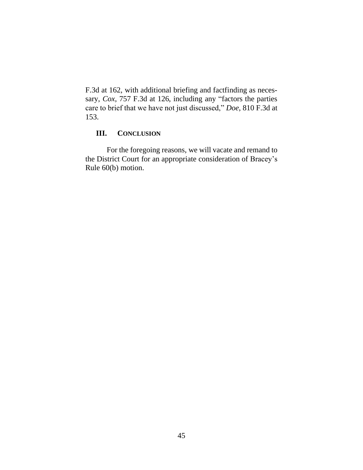F.3d at 162, with additional briefing and factfinding as necessary, *Cox*, 757 F.3d at 126, including any "factors the parties care to brief that we have not just discussed," *Doe*, 810 F.3d at 153.

## **III. CONCLUSION**

For the foregoing reasons, we will vacate and remand to the District Court for an appropriate consideration of Bracey's Rule 60(b) motion.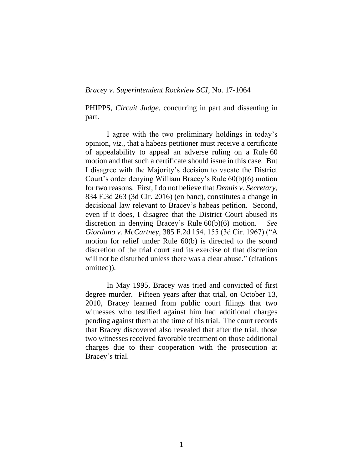#### *Bracey v. Superintendent Rockview SCI*, No. 17-1064

PHIPPS, *Circuit Judge*, concurring in part and dissenting in part.

I agree with the two preliminary holdings in today's opinion, *viz.*, that a habeas petitioner must receive a certificate of appealability to appeal an adverse ruling on a Rule 60 motion and that such a certificate should issue in this case. But I disagree with the Majority's decision to vacate the District Court's order denying William Bracey's Rule 60(b)(6) motion for two reasons. First, I do not believe that *Dennis v. Secretary*, 834 F.3d 263 (3d Cir. 2016) (en banc), constitutes a change in decisional law relevant to Bracey's habeas petition. Second, even if it does, I disagree that the District Court abused its discretion in denying Bracey's Rule 60(b)(6) motion. *See Giordano v. McCartney*, 385 F.2d 154, 155 (3d Cir. 1967) ("A motion for relief under Rule 60(b) is directed to the sound discretion of the trial court and its exercise of that discretion will not be disturbed unless there was a clear abuse." (citations omitted)).

In May 1995, Bracey was tried and convicted of first degree murder. Fifteen years after that trial, on October 13, 2010, Bracey learned from public court filings that two witnesses who testified against him had additional charges pending against them at the time of his trial. The court records that Bracey discovered also revealed that after the trial, those two witnesses received favorable treatment on those additional charges due to their cooperation with the prosecution at Bracey's trial.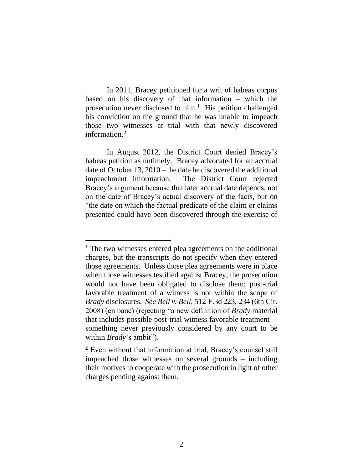In 2011, Bracey petitioned for a writ of habeas corpus based on his discovery of that information – which the prosecution never disclosed to him.<sup>1</sup> His petition challenged his conviction on the ground that he was unable to impeach those two witnesses at trial with that newly discovered information.<sup>2</sup>

In August 2012, the District Court denied Bracey's habeas petition as untimely. Bracey advocated for an accrual date of October 13, 2010 – the date he discovered the additional impeachment information. The District Court rejected Bracey's argument because that later accrual date depends, not on the date of Bracey's actual discovery of the facts, but on "the date on which the factual predicate of the claim or claims presented could have been discovered through the exercise of

<sup>&</sup>lt;sup>1</sup> The two witnesses entered plea agreements on the additional charges, but the transcripts do not specify when they entered those agreements. Unless those plea agreements were in place when those witnesses testified against Bracey, the prosecution would not have been obligated to disclose them: post-trial favorable treatment of a witness is not within the scope of *Brady* disclosures. *See Bell v. Bell*, 512 F.3d 223, 234 (6th Cir. 2008) (en banc) (rejecting "a new definition of *Brady* material that includes possible post-trial witness favorable treatment something never previously considered by any court to be within *Brady*'s ambit").

<sup>2</sup> Even without that information at trial, Bracey's counsel still impeached those witnesses on several grounds – including their motives to cooperate with the prosecution in light of other charges pending against them.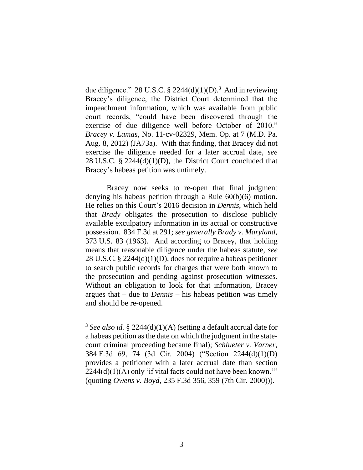due diligence." 28 U.S.C. § 2244(d)(1)(D).<sup>3</sup> And in reviewing Bracey's diligence, the District Court determined that the impeachment information, which was available from public court records, "could have been discovered through the exercise of due diligence well before October of 2010." *Bracey v. Lamas*, No. 11-cv-02329, Mem. Op. at 7 (M.D. Pa. Aug. 8, 2012) (JA73a). With that finding, that Bracey did not exercise the diligence needed for a later accrual date, *see*  28 U.S.C. § 2244(d)(1)(D), the District Court concluded that Bracey's habeas petition was untimely.

Bracey now seeks to re-open that final judgment denying his habeas petition through a Rule 60(b)(6) motion. He relies on this Court's 2016 decision in *Dennis*, which held that *Brady* obligates the prosecution to disclose publicly available exculpatory information in its actual or constructive possession. 834 F.3d at 291; *see generally Brady v. Maryland*, 373 U.S. 83 (1963). And according to Bracey, that holding means that reasonable diligence under the habeas statute, *see*  28 U.S.C. § 2244(d)(1)(D), does not require a habeas petitioner to search public records for charges that were both known to the prosecution and pending against prosecution witnesses. Without an obligation to look for that information, Bracey argues that – due to *Dennis* – his habeas petition was timely and should be re-opened.

<sup>3</sup> *See also id.* § 2244(d)(1)(A) (setting a default accrual date for a habeas petition as the date on which the judgment in the statecourt criminal proceeding became final); *Schlueter v. Varner*, 384 F.3d 69, 74 (3d Cir. 2004) ("Section 2244(d)(1)(D) provides a petitioner with a later accrual date than section  $2244(d)(1)(A)$  only 'if vital facts could not have been known." (quoting *Owens v. Boyd*, 235 F.3d 356, 359 (7th Cir. 2000))).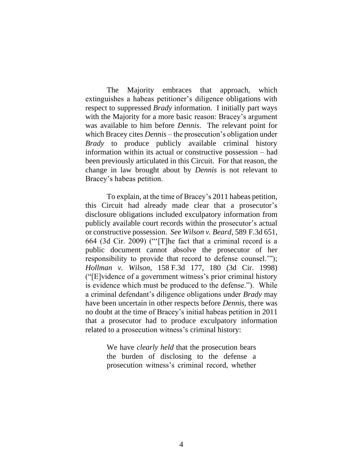The Majority embraces that approach, which extinguishes a habeas petitioner's diligence obligations with respect to suppressed *Brady* information. I initially part ways with the Majority for a more basic reason: Bracey's argument was available to him before *Dennis*. The relevant point for which Bracey cites *Dennis* – the prosecution's obligation under *Brady* to produce publicly available criminal history information within its actual or constructive possession – had been previously articulated in this Circuit. For that reason, the change in law brought about by *Dennis* is not relevant to Bracey's habeas petition.

To explain, at the time of Bracey's 2011 habeas petition, this Circuit had already made clear that a prosecutor's disclosure obligations included exculpatory information from publicly available court records within the prosecutor's actual or constructive possession. *See Wilson v. Beard*, 589 F.3d 651, 664 (3d Cir. 2009) ("'[T]he fact that a criminal record is a public document cannot absolve the prosecutor of her responsibility to provide that record to defense counsel.'"); *Hollman v. Wilson,* 158 F.3d 177, 180 (3d Cir. 1998) ("[E]vidence of a government witness's prior criminal history is evidence which must be produced to the defense."). While a criminal defendant's diligence obligations under *Brady* may have been uncertain in other respects before *Dennis*, there was no doubt at the time of Bracey's initial habeas petition in 2011 that a prosecutor had to produce exculpatory information related to a prosecution witness's criminal history:

> We have *clearly held* that the prosecution bears the burden of disclosing to the defense a prosecution witness's criminal record, whether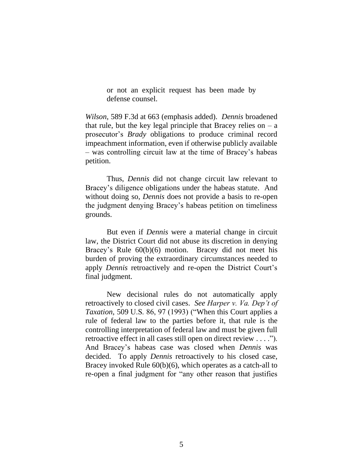or not an explicit request has been made by defense counsel.

*Wilson*, 589 F.3d at 663 (emphasis added). *Dennis* broadened that rule, but the key legal principle that Bracey relies on  $- a$ prosecutor's *Brady* obligations to produce criminal record impeachment information, even if otherwise publicly available – was controlling circuit law at the time of Bracey's habeas petition.

Thus, *Dennis* did not change circuit law relevant to Bracey's diligence obligations under the habeas statute. And without doing so, *Dennis* does not provide a basis to re-open the judgment denying Bracey's habeas petition on timeliness grounds.

But even if *Dennis* were a material change in circuit law, the District Court did not abuse its discretion in denying Bracey's Rule 60(b)(6) motion. Bracey did not meet his burden of proving the extraordinary circumstances needed to apply *Dennis* retroactively and re-open the District Court's final judgment.

New decisional rules do not automatically apply retroactively to closed civil cases. *See Harper v. Va. Dep't of Taxation*, 509 U.S. 86, 97 (1993) ("When this Court applies a rule of federal law to the parties before it, that rule is the controlling interpretation of federal law and must be given full retroactive effect in all cases still open on direct review . . . ."). And Bracey's habeas case was closed when *Dennis* was decided. To apply *Dennis* retroactively to his closed case, Bracey invoked Rule 60(b)(6), which operates as a catch-all to re-open a final judgment for "any other reason that justifies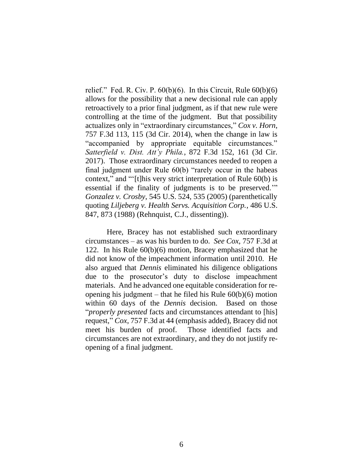relief." Fed. R. Civ. P.  $60(b)(6)$ . In this Circuit, Rule  $60(b)(6)$ allows for the possibility that a new decisional rule can apply retroactively to a prior final judgment, as if that new rule were controlling at the time of the judgment. But that possibility actualizes only in "extraordinary circumstances," *Cox v. Horn*, 757 F.3d 113, 115 (3d Cir. 2014), when the change in law is "accompanied by appropriate equitable circumstances." *Satterfield v. Dist. Att'y Phila.*, 872 F.3d 152, 161 (3d Cir. 2017). Those extraordinary circumstances needed to reopen a final judgment under Rule 60(b) "rarely occur in the habeas context," and "'[t]his very strict interpretation of Rule 60(b) is essential if the finality of judgments is to be preserved.'" *Gonzalez v. Crosby*, 545 U.S. 524, 535 (2005) (parenthetically quoting *Liljeberg v. Health Servs. Acquisition Corp.*, 486 U.S. 847, 873 (1988) (Rehnquist, C.J., dissenting)).

Here, Bracey has not established such extraordinary circumstances – as was his burden to do. *See Cox*, 757 F.3d at 122. In his Rule 60(b)(6) motion, Bracey emphasized that he did not know of the impeachment information until 2010. He also argued that *Dennis* eliminated his diligence obligations due to the prosecutor's duty to disclose impeachment materials. And he advanced one equitable consideration for reopening his judgment – that he filed his Rule  $60(b)(6)$  motion within 60 days of the *Dennis* decision.Based on those "*properly presented* facts and circumstances attendant to [his] request," *Cox*, 757 F.3d at 44 (emphasis added), Bracey did not meet his burden of proof. Those identified facts and circumstances are not extraordinary, and they do not justify reopening of a final judgment.